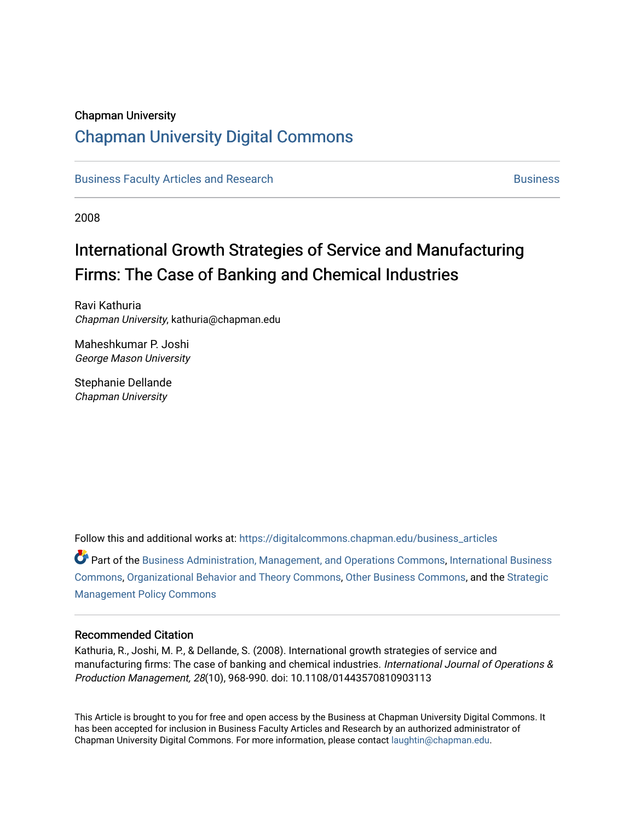# Chapman University

# [Chapman University Digital Commons](https://digitalcommons.chapman.edu/)

[Business Faculty Articles and Research](https://digitalcommons.chapman.edu/business_articles) [Business](https://digitalcommons.chapman.edu/business) **Business** Business

2008

# International Growth Strategies of Service and Manufacturing Firms: The Case of Banking and Chemical Industries

Ravi Kathuria Chapman University, kathuria@chapman.edu

Maheshkumar P. Joshi George Mason University

Stephanie Dellande Chapman University

Follow this and additional works at: [https://digitalcommons.chapman.edu/business\\_articles](https://digitalcommons.chapman.edu/business_articles?utm_source=digitalcommons.chapman.edu%2Fbusiness_articles%2F85&utm_medium=PDF&utm_campaign=PDFCoverPages) 

 $\bullet$  Part of the [Business Administration, Management, and Operations Commons](http://network.bepress.com/hgg/discipline/623?utm_source=digitalcommons.chapman.edu%2Fbusiness_articles%2F85&utm_medium=PDF&utm_campaign=PDFCoverPages), International Business [Commons](http://network.bepress.com/hgg/discipline/634?utm_source=digitalcommons.chapman.edu%2Fbusiness_articles%2F85&utm_medium=PDF&utm_campaign=PDFCoverPages), [Organizational Behavior and Theory Commons,](http://network.bepress.com/hgg/discipline/639?utm_source=digitalcommons.chapman.edu%2Fbusiness_articles%2F85&utm_medium=PDF&utm_campaign=PDFCoverPages) [Other Business Commons](http://network.bepress.com/hgg/discipline/647?utm_source=digitalcommons.chapman.edu%2Fbusiness_articles%2F85&utm_medium=PDF&utm_campaign=PDFCoverPages), and the [Strategic](http://network.bepress.com/hgg/discipline/642?utm_source=digitalcommons.chapman.edu%2Fbusiness_articles%2F85&utm_medium=PDF&utm_campaign=PDFCoverPages)  [Management Policy Commons](http://network.bepress.com/hgg/discipline/642?utm_source=digitalcommons.chapman.edu%2Fbusiness_articles%2F85&utm_medium=PDF&utm_campaign=PDFCoverPages) 

#### Recommended Citation

Kathuria, R., Joshi, M. P., & Dellande, S. (2008). International growth strategies of service and manufacturing firms: The case of banking and chemical industries. International Journal of Operations & Production Management, 28(10), 968-990. doi: 10.1108/01443570810903113

This Article is brought to you for free and open access by the Business at Chapman University Digital Commons. It has been accepted for inclusion in Business Faculty Articles and Research by an authorized administrator of Chapman University Digital Commons. For more information, please contact [laughtin@chapman.edu](mailto:laughtin@chapman.edu).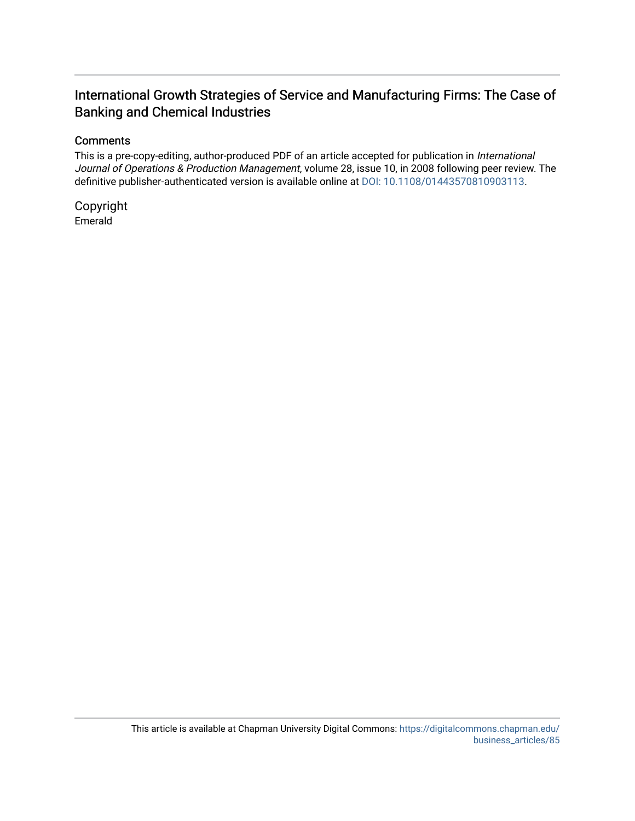# International Growth Strategies of Service and Manufacturing Firms: The Case of Banking and Chemical Industries

# **Comments**

This is a pre-copy-editing, author-produced PDF of an article accepted for publication in International Journal of Operations & Production Management, volume 28, issue 10, in 2008 following peer review. The definitive publisher-authenticated version is available online at [DOI: 10.1108/01443570810903113.](https://doi.org/10.1108/01443570810903113)

Copyright Emerald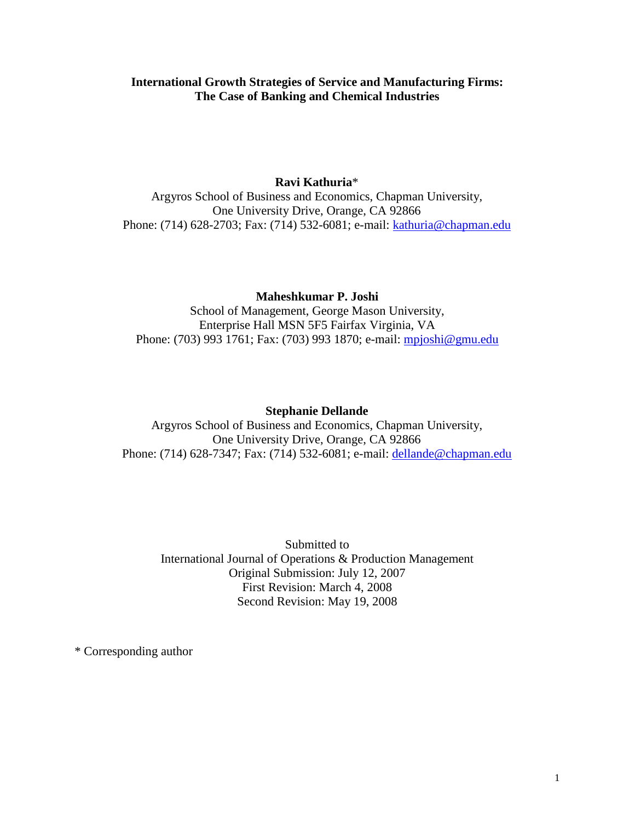# **International Growth Strategies of Service and Manufacturing Firms: The Case of Banking and Chemical Industries**

# **Ravi Kathuria**\*

Argyros School of Business and Economics, Chapman University, One University Drive, Orange, CA 92866 Phone: (714) 628-2703; Fax: (714) 532-6081; e-mail: [kathuria@chapman.edu](mailto:kathuria@sju.edu)

# **Maheshkumar P. Joshi**

School of Management, George Mason University, Enterprise Hall MSN 5F5 Fairfax Virginia, VA Phone: (703) 993 1761; Fax: (703) 993 1870; e-mail: *mpjoshi@gmu.edu* 

## **Stephanie Dellande**

Argyros School of Business and Economics, Chapman University, One University Drive, Orange, CA 92866 Phone: (714) 628-7347; Fax: (714) 532-6081; e-mail: [dellande@chapman.edu](mailto:dellande@chapman.edu)

Submitted to International Journal of Operations & Production Management Original Submission: July 12, 2007 First Revision: March 4, 2008 Second Revision: May 19, 2008

\* Corresponding author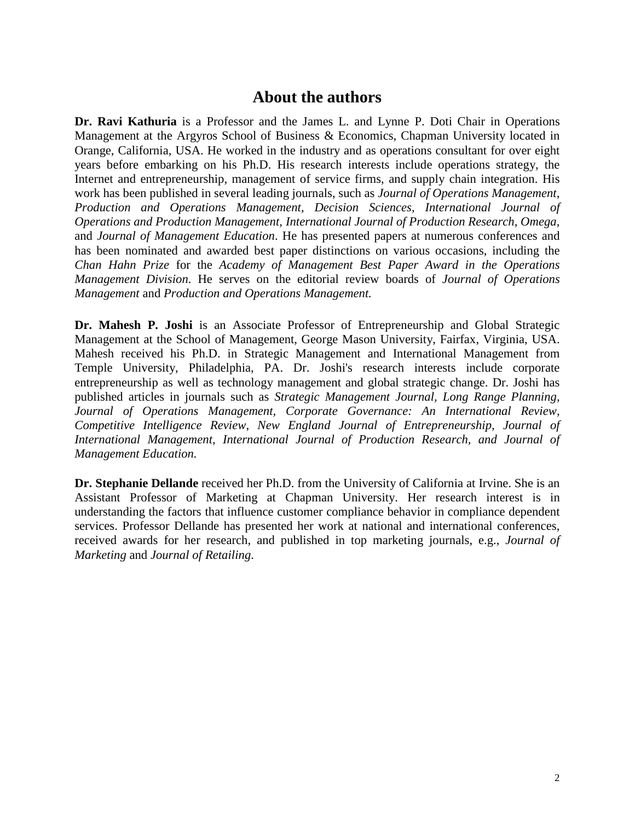# **About the authors**

**Dr. Ravi Kathuria** is a Professor and the James L. and Lynne P. Doti Chair in Operations Management at the Argyros School of Business & Economics, Chapman University located in Orange, California, USA. He worked in the industry and as operations consultant for over eight years before embarking on his Ph.D. His research interests include operations strategy, the Internet and entrepreneurship, management of service firms, and supply chain integration. His work has been published in several leading journals, such as *Journal of Operations Management, Production and Operations Management, Decision Sciences, International Journal of Operations and Production Management, International Journal of Production Research, Omega,* and *Journal of Management Education*. He has presented papers at numerous conferences and has been nominated and awarded best paper distinctions on various occasions, including the *Chan Hahn Prize* for the *Academy of Management Best Paper Award in the Operations Management Division*. He serves on the editorial review boards of *Journal of Operations Management* and *Production and Operations Management.*

**Dr. Mahesh P. Joshi** is an Associate Professor of Entrepreneurship and Global Strategic Management at the School of Management, George Mason University, Fairfax, Virginia, USA. Mahesh received his Ph.D. in Strategic Management and International Management from Temple University, Philadelphia, PA. Dr. Joshi's research interests include corporate entrepreneurship as well as technology management and global strategic change. Dr. Joshi has published articles in journals such as *Strategic Management Journal, Long Range Planning, Journal of Operations Management, Corporate Governance: An International Review, Competitive Intelligence Review, New England Journal of Entrepreneurship, Journal of International Management, International Journal of Production Research, and Journal of Management Education.*

**Dr. Stephanie Dellande** received her Ph.D. from the University of California at Irvine. She is an Assistant Professor of Marketing at Chapman University. Her research interest is in understanding the factors that influence customer compliance behavior in compliance dependent services. Professor Dellande has presented her work at national and international conferences, received awards for her research, and published in top marketing journals, e.g., *Journal of Marketing* and *Journal of Retailing*.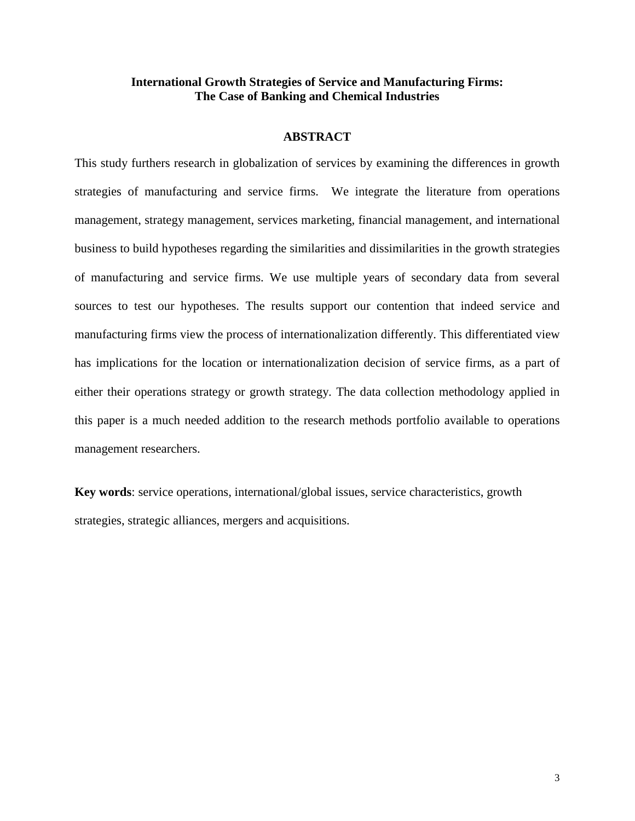# **International Growth Strategies of Service and Manufacturing Firms: The Case of Banking and Chemical Industries**

## **ABSTRACT**

This study furthers research in globalization of services by examining the differences in growth strategies of manufacturing and service firms. We integrate the literature from operations management, strategy management, services marketing, financial management, and international business to build hypotheses regarding the similarities and dissimilarities in the growth strategies of manufacturing and service firms. We use multiple years of secondary data from several sources to test our hypotheses. The results support our contention that indeed service and manufacturing firms view the process of internationalization differently. This differentiated view has implications for the location or internationalization decision of service firms, as a part of either their operations strategy or growth strategy. The data collection methodology applied in this paper is a much needed addition to the research methods portfolio available to operations management researchers.

**Key words**: service operations, international/global issues, service characteristics, growth strategies, strategic alliances, mergers and acquisitions.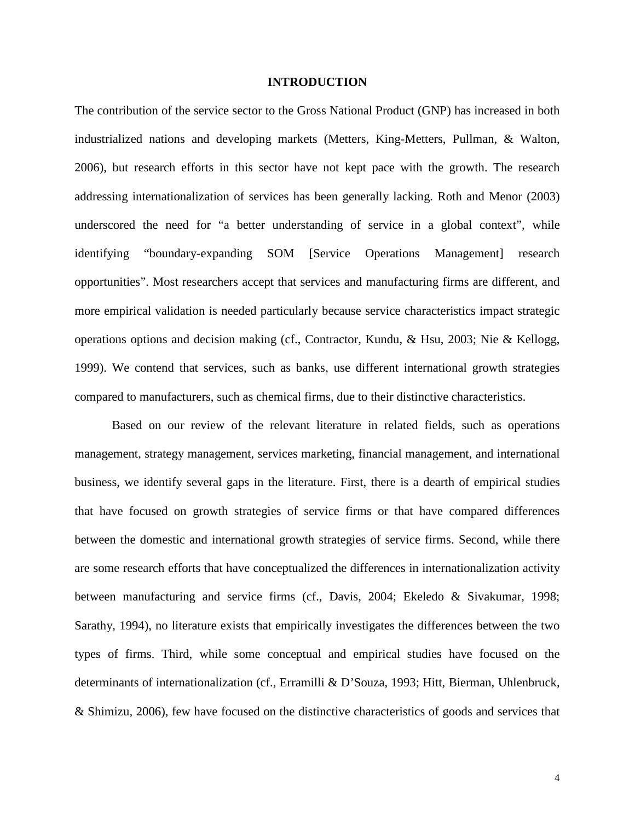#### **INTRODUCTION**

The contribution of the service sector to the Gross National Product (GNP) has increased in both industrialized nations and developing markets (Metters, King-Metters, Pullman, & Walton, 2006), but research efforts in this sector have not kept pace with the growth. The research addressing internationalization of services has been generally lacking. Roth and Menor (2003) underscored the need for "a better understanding of service in a global context", while identifying "boundary-expanding SOM [Service Operations Management] research opportunities". Most researchers accept that services and manufacturing firms are different, and more empirical validation is needed particularly because service characteristics impact strategic operations options and decision making (cf., Contractor, Kundu, & Hsu, 2003; Nie & Kellogg, 1999). We contend that services, such as banks, use different international growth strategies compared to manufacturers, such as chemical firms, due to their distinctive characteristics.

Based on our review of the relevant literature in related fields, such as operations management, strategy management, services marketing, financial management, and international business, we identify several gaps in the literature. First, there is a dearth of empirical studies that have focused on growth strategies of service firms or that have compared differences between the domestic and international growth strategies of service firms. Second, while there are some research efforts that have conceptualized the differences in internationalization activity between manufacturing and service firms (cf., Davis, 2004; Ekeledo & Sivakumar, 1998; Sarathy, 1994), no literature exists that empirically investigates the differences between the two types of firms. Third, while some conceptual and empirical studies have focused on the determinants of internationalization (cf., Erramilli & D'Souza, 1993; Hitt, Bierman, Uhlenbruck, & Shimizu, 2006), few have focused on the distinctive characteristics of goods and services that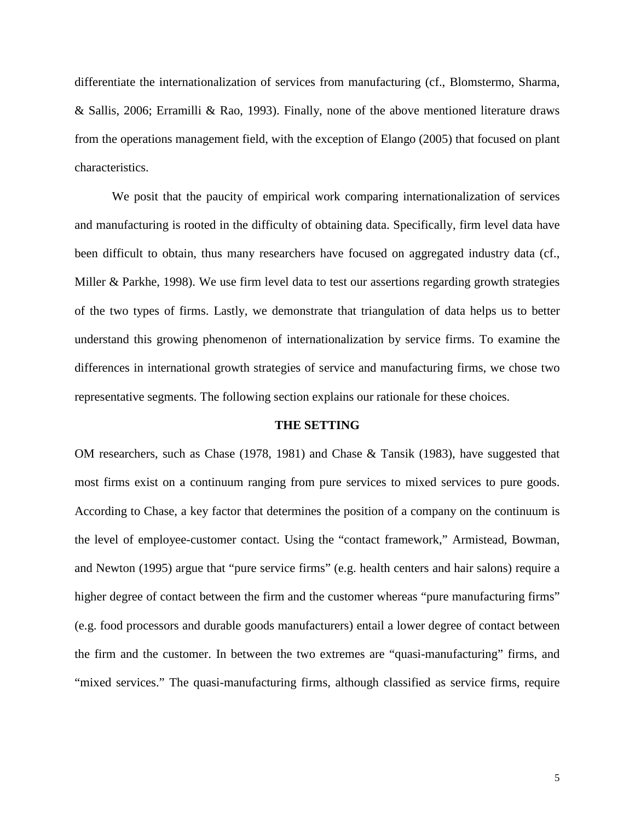differentiate the internationalization of services from manufacturing (cf., Blomstermo, Sharma, & Sallis, 2006; Erramilli & Rao, 1993). Finally, none of the above mentioned literature draws from the operations management field, with the exception of Elango (2005) that focused on plant characteristics.

We posit that the paucity of empirical work comparing internationalization of services and manufacturing is rooted in the difficulty of obtaining data. Specifically, firm level data have been difficult to obtain, thus many researchers have focused on aggregated industry data (cf., Miller & Parkhe, 1998). We use firm level data to test our assertions regarding growth strategies of the two types of firms. Lastly, we demonstrate that triangulation of data helps us to better understand this growing phenomenon of internationalization by service firms. To examine the differences in international growth strategies of service and manufacturing firms, we chose two representative segments. The following section explains our rationale for these choices.

#### **THE SETTING**

OM researchers, such as Chase (1978, 1981) and Chase & Tansik (1983), have suggested that most firms exist on a continuum ranging from pure services to mixed services to pure goods. According to Chase, a key factor that determines the position of a company on the continuum is the level of employee-customer contact. Using the "contact framework," Armistead, Bowman, and Newton (1995) argue that "pure service firms" (e.g. health centers and hair salons) require a higher degree of contact between the firm and the customer whereas "pure manufacturing firms" (e.g. food processors and durable goods manufacturers) entail a lower degree of contact between the firm and the customer. In between the two extremes are "quasi-manufacturing" firms, and "mixed services." The quasi-manufacturing firms, although classified as service firms, require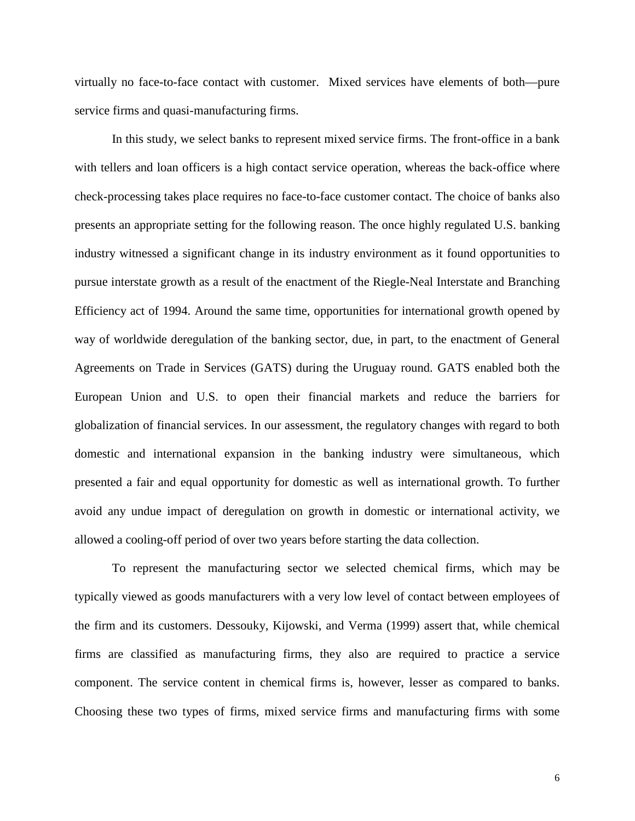virtually no face-to-face contact with customer. Mixed services have elements of both—pure service firms and quasi-manufacturing firms.

In this study, we select banks to represent mixed service firms. The front-office in a bank with tellers and loan officers is a high contact service operation, whereas the back-office where check-processing takes place requires no face-to-face customer contact. The choice of banks also presents an appropriate setting for the following reason. The once highly regulated U.S. banking industry witnessed a significant change in its industry environment as it found opportunities to pursue interstate growth as a result of the enactment of the Riegle-Neal Interstate and Branching Efficiency act of 1994. Around the same time, opportunities for international growth opened by way of worldwide deregulation of the banking sector, due, in part, to the enactment of General Agreements on Trade in Services (GATS) during the Uruguay round. GATS enabled both the European Union and U.S. to open their financial markets and reduce the barriers for globalization of financial services. In our assessment, the regulatory changes with regard to both domestic and international expansion in the banking industry were simultaneous, which presented a fair and equal opportunity for domestic as well as international growth. To further avoid any undue impact of deregulation on growth in domestic or international activity, we allowed a cooling-off period of over two years before starting the data collection.

To represent the manufacturing sector we selected chemical firms, which may be typically viewed as goods manufacturers with a very low level of contact between employees of the firm and its customers. Dessouky, Kijowski, and Verma (1999) assert that, while chemical firms are classified as manufacturing firms, they also are required to practice a service component. The service content in chemical firms is, however, lesser as compared to banks. Choosing these two types of firms, mixed service firms and manufacturing firms with some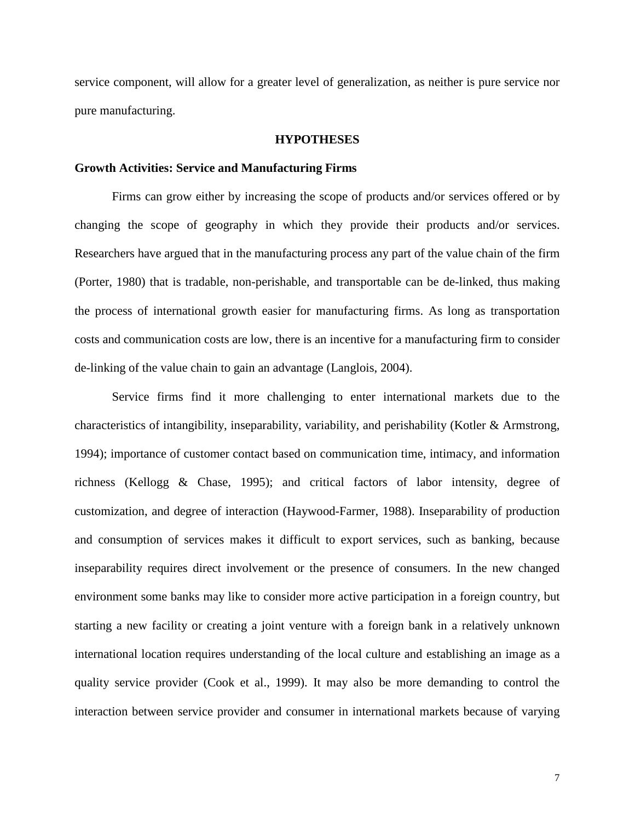service component, will allow for a greater level of generalization, as neither is pure service nor pure manufacturing.

#### **HYPOTHESES**

#### **Growth Activities: Service and Manufacturing Firms**

Firms can grow either by increasing the scope of products and/or services offered or by changing the scope of geography in which they provide their products and/or services. Researchers have argued that in the manufacturing process any part of the value chain of the firm (Porter, 1980) that is tradable, non-perishable, and transportable can be de-linked, thus making the process of international growth easier for manufacturing firms. As long as transportation costs and communication costs are low, there is an incentive for a manufacturing firm to consider de-linking of the value chain to gain an advantage (Langlois, 2004).

Service firms find it more challenging to enter international markets due to the characteristics of intangibility, inseparability, variability, and perishability (Kotler & Armstrong, 1994); importance of customer contact based on communication time, intimacy, and information richness (Kellogg & Chase, 1995); and critical factors of labor intensity, degree of customization, and degree of interaction (Haywood-Farmer, 1988). Inseparability of production and consumption of services makes it difficult to export services, such as banking, because inseparability requires direct involvement or the presence of consumers. In the new changed environment some banks may like to consider more active participation in a foreign country, but starting a new facility or creating a joint venture with a foreign bank in a relatively unknown international location requires understanding of the local culture and establishing an image as a quality service provider (Cook et al., 1999). It may also be more demanding to control the interaction between service provider and consumer in international markets because of varying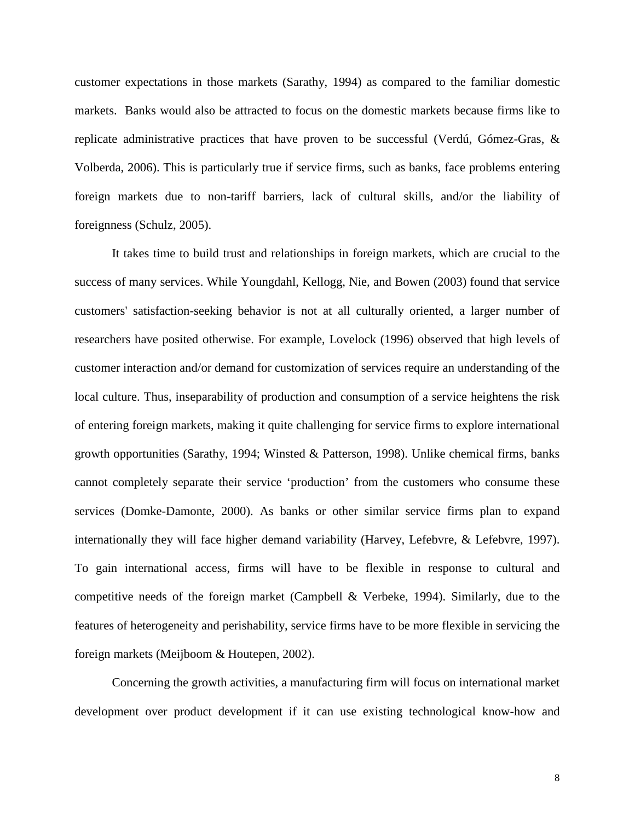customer expectations in those markets (Sarathy, 1994) as compared to the familiar domestic markets. Banks would also be attracted to focus on the domestic markets because firms like to replicate administrative practices that have proven to be successful (Verdú, Gómez-Gras, & Volberda, 2006). This is particularly true if service firms, such as banks, face problems entering foreign markets due to non-tariff barriers, lack of cultural skills, and/or the liability of foreignness (Schulz, 2005).

It takes time to build trust and relationships in foreign markets, which are crucial to the success of many services. While Youngdahl, Kellogg, Nie, and Bowen (2003) found that service customers' satisfaction-seeking behavior is not at all culturally oriented, a larger number of researchers have posited otherwise. For example, Lovelock (1996) observed that high levels of customer interaction and/or demand for customization of services require an understanding of the local culture. Thus, inseparability of production and consumption of a service heightens the risk of entering foreign markets, making it quite challenging for service firms to explore international growth opportunities (Sarathy, 1994; Winsted & Patterson, 1998). Unlike chemical firms, banks cannot completely separate their service 'production' from the customers who consume these services (Domke-Damonte, 2000). As banks or other similar service firms plan to expand internationally they will face higher demand variability (Harvey, Lefebvre, & Lefebvre, 1997). To gain international access, firms will have to be flexible in response to cultural and competitive needs of the foreign market (Campbell & Verbeke, 1994). Similarly, due to the features of heterogeneity and perishability, service firms have to be more flexible in servicing the foreign markets (Meijboom & Houtepen, 2002).

Concerning the growth activities, a manufacturing firm will focus on international market development over product development if it can use existing technological know-how and

8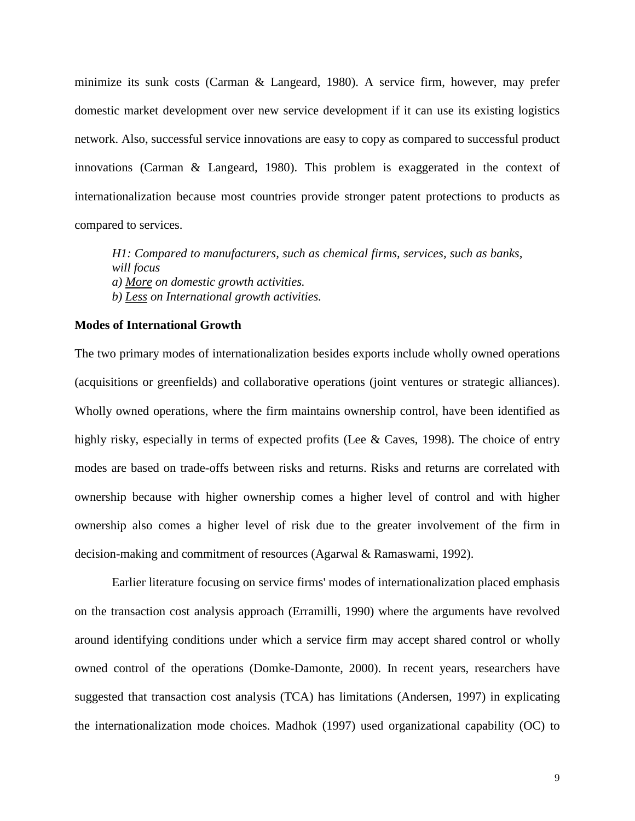minimize its sunk costs (Carman & Langeard, 1980). A service firm, however, may prefer domestic market development over new service development if it can use its existing logistics network. Also, successful service innovations are easy to copy as compared to successful product innovations (Carman & Langeard, 1980). This problem is exaggerated in the context of internationalization because most countries provide stronger patent protections to products as compared to services.

*H1: Compared to manufacturers, such as chemical firms, services, such as banks, will focus a) More on domestic growth activities. b) Less on International growth activities.*

# **Modes of International Growth**

The two primary modes of internationalization besides exports include wholly owned operations (acquisitions or greenfields) and collaborative operations (joint ventures or strategic alliances). Wholly owned operations, where the firm maintains ownership control, have been identified as highly risky, especially in terms of expected profits (Lee & Caves, 1998). The choice of entry modes are based on trade-offs between risks and returns. Risks and returns are correlated with ownership because with higher ownership comes a higher level of control and with higher ownership also comes a higher level of risk due to the greater involvement of the firm in decision-making and commitment of resources (Agarwal & Ramaswami, 1992).

Earlier literature focusing on service firms' modes of internationalization placed emphasis on the transaction cost analysis approach (Erramilli, 1990) where the arguments have revolved around identifying conditions under which a service firm may accept shared control or wholly owned control of the operations (Domke-Damonte, 2000). In recent years, researchers have suggested that transaction cost analysis (TCA) has limitations (Andersen, 1997) in explicating the internationalization mode choices. Madhok (1997) used organizational capability (OC) to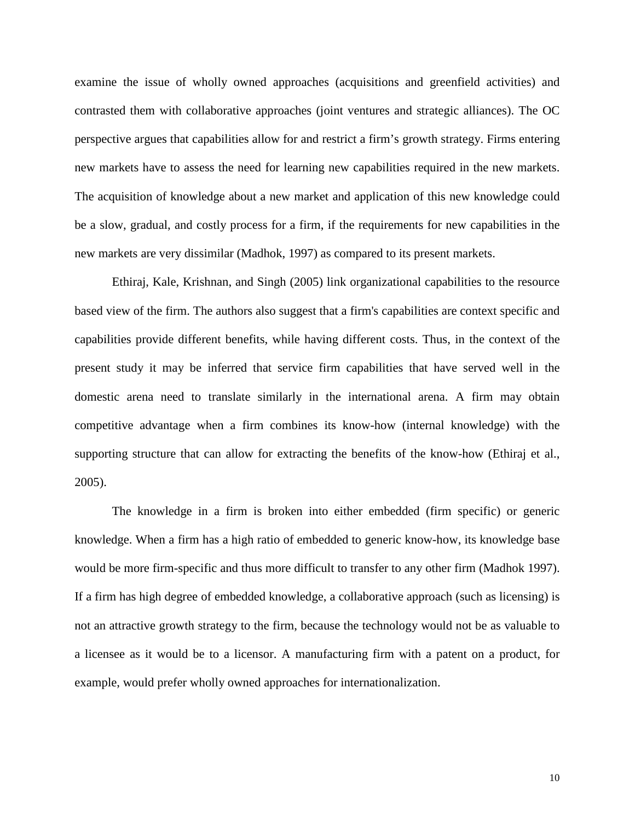examine the issue of wholly owned approaches (acquisitions and greenfield activities) and contrasted them with collaborative approaches (joint ventures and strategic alliances). The OC perspective argues that capabilities allow for and restrict a firm's growth strategy. Firms entering new markets have to assess the need for learning new capabilities required in the new markets. The acquisition of knowledge about a new market and application of this new knowledge could be a slow, gradual, and costly process for a firm, if the requirements for new capabilities in the new markets are very dissimilar (Madhok, 1997) as compared to its present markets.

Ethiraj, Kale, Krishnan, and Singh (2005) link organizational capabilities to the resource based view of the firm. The authors also suggest that a firm's capabilities are context specific and capabilities provide different benefits, while having different costs. Thus, in the context of the present study it may be inferred that service firm capabilities that have served well in the domestic arena need to translate similarly in the international arena. A firm may obtain competitive advantage when a firm combines its know-how (internal knowledge) with the supporting structure that can allow for extracting the benefits of the know-how (Ethiraj et al., 2005).

The knowledge in a firm is broken into either embedded (firm specific) or generic knowledge. When a firm has a high ratio of embedded to generic know-how, its knowledge base would be more firm-specific and thus more difficult to transfer to any other firm (Madhok 1997). If a firm has high degree of embedded knowledge, a collaborative approach (such as licensing) is not an attractive growth strategy to the firm, because the technology would not be as valuable to a licensee as it would be to a licensor. A manufacturing firm with a patent on a product, for example, would prefer wholly owned approaches for internationalization.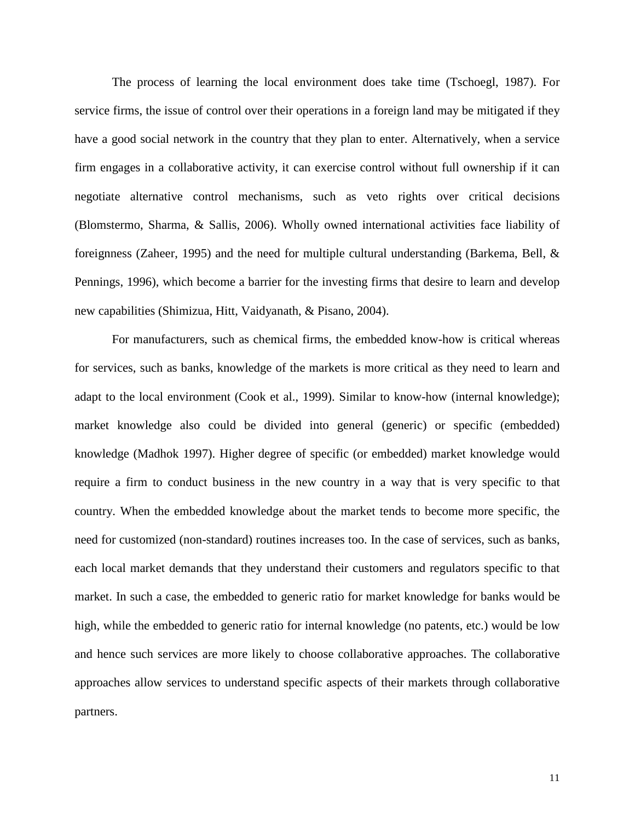The process of learning the local environment does take time (Tschoegl, 1987). For service firms, the issue of control over their operations in a foreign land may be mitigated if they have a good social network in the country that they plan to enter. Alternatively, when a service firm engages in a collaborative activity, it can exercise control without full ownership if it can negotiate alternative control mechanisms, such as veto rights over critical decisions (Blomstermo, Sharma, & Sallis, 2006). Wholly owned international activities face liability of foreignness (Zaheer, 1995) and the need for multiple cultural understanding (Barkema, Bell, & Pennings, 1996), which become a barrier for the investing firms that desire to learn and develop new capabilities (Shimizua, Hitt, Vaidyanath, & Pisano, 2004).

For manufacturers, such as chemical firms, the embedded know-how is critical whereas for services, such as banks, knowledge of the markets is more critical as they need to learn and adapt to the local environment (Cook et al., 1999). Similar to know-how (internal knowledge); market knowledge also could be divided into general (generic) or specific (embedded) knowledge (Madhok 1997). Higher degree of specific (or embedded) market knowledge would require a firm to conduct business in the new country in a way that is very specific to that country. When the embedded knowledge about the market tends to become more specific, the need for customized (non-standard) routines increases too. In the case of services, such as banks, each local market demands that they understand their customers and regulators specific to that market. In such a case, the embedded to generic ratio for market knowledge for banks would be high, while the embedded to generic ratio for internal knowledge (no patents, etc.) would be low and hence such services are more likely to choose collaborative approaches. The collaborative approaches allow services to understand specific aspects of their markets through collaborative partners.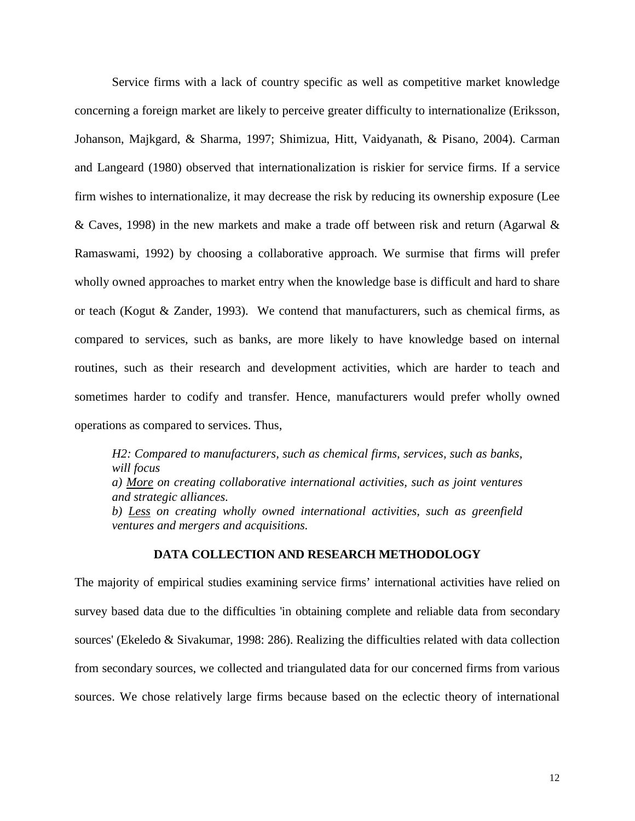Service firms with a lack of country specific as well as competitive market knowledge concerning a foreign market are likely to perceive greater difficulty to internationalize (Eriksson, Johanson, Majkgard, & Sharma, 1997; Shimizua, Hitt, Vaidyanath, & Pisano, 2004). Carman and Langeard (1980) observed that internationalization is riskier for service firms. If a service firm wishes to internationalize, it may decrease the risk by reducing its ownership exposure (Lee & Caves, 1998) in the new markets and make a trade off between risk and return (Agarwal & Ramaswami, 1992) by choosing a collaborative approach. We surmise that firms will prefer wholly owned approaches to market entry when the knowledge base is difficult and hard to share or teach (Kogut & Zander, 1993). We contend that manufacturers, such as chemical firms, as compared to services, such as banks, are more likely to have knowledge based on internal routines, such as their research and development activities, which are harder to teach and sometimes harder to codify and transfer. Hence, manufacturers would prefer wholly owned operations as compared to services. Thus,

*H2: Compared to manufacturers, such as chemical firms, services, such as banks, will focus a) More on creating collaborative international activities, such as joint ventures and strategic alliances. b) Less on creating wholly owned international activities, such as greenfield ventures and mergers and acquisitions.*

# **DATA COLLECTION AND RESEARCH METHODOLOGY**

The majority of empirical studies examining service firms' international activities have relied on survey based data due to the difficulties 'in obtaining complete and reliable data from secondary sources' (Ekeledo & Sivakumar, 1998: 286). Realizing the difficulties related with data collection from secondary sources, we collected and triangulated data for our concerned firms from various sources. We chose relatively large firms because based on the eclectic theory of international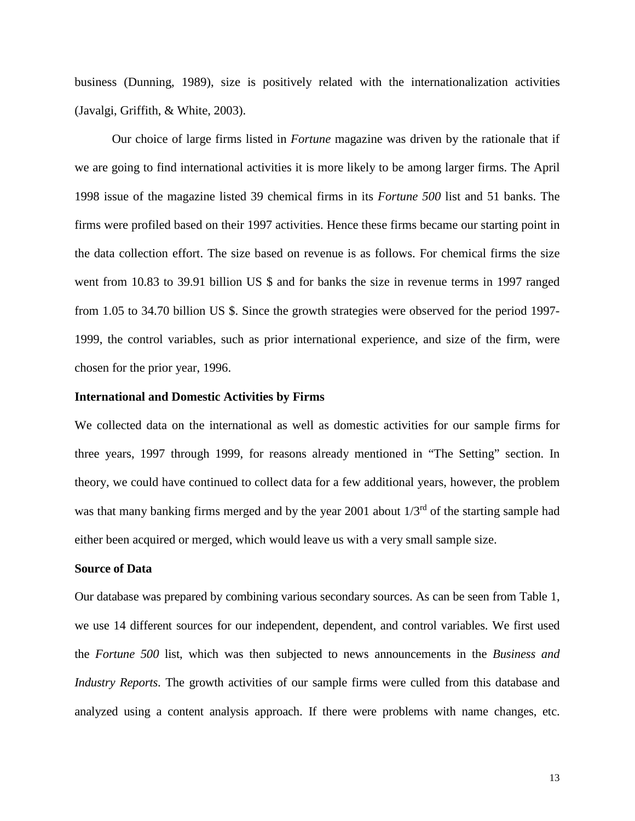business (Dunning, 1989), size is positively related with the internationalization activities (Javalgi, Griffith, & White, 2003).

Our choice of large firms listed in *Fortune* magazine was driven by the rationale that if we are going to find international activities it is more likely to be among larger firms. The April 1998 issue of the magazine listed 39 chemical firms in its *Fortune 500* list and 51 banks. The firms were profiled based on their 1997 activities. Hence these firms became our starting point in the data collection effort. The size based on revenue is as follows. For chemical firms the size went from 10.83 to 39.91 billion US \$ and for banks the size in revenue terms in 1997 ranged from 1.05 to 34.70 billion US \$. Since the growth strategies were observed for the period 1997- 1999, the control variables, such as prior international experience, and size of the firm, were chosen for the prior year, 1996.

#### **International and Domestic Activities by Firms**

We collected data on the international as well as domestic activities for our sample firms for three years, 1997 through 1999, for reasons already mentioned in "The Setting" section. In theory, we could have continued to collect data for a few additional years, however, the problem was that many banking firms merged and by the year 2001 about  $1/3<sup>rd</sup>$  of the starting sample had either been acquired or merged, which would leave us with a very small sample size.

#### **Source of Data**

Our database was prepared by combining various secondary sources. As can be seen from Table 1, we use 14 different sources for our independent, dependent, and control variables. We first used the *Fortune 500* list, which was then subjected to news announcements in the *Business and Industry Reports*. The growth activities of our sample firms were culled from this database and analyzed using a content analysis approach. If there were problems with name changes, etc.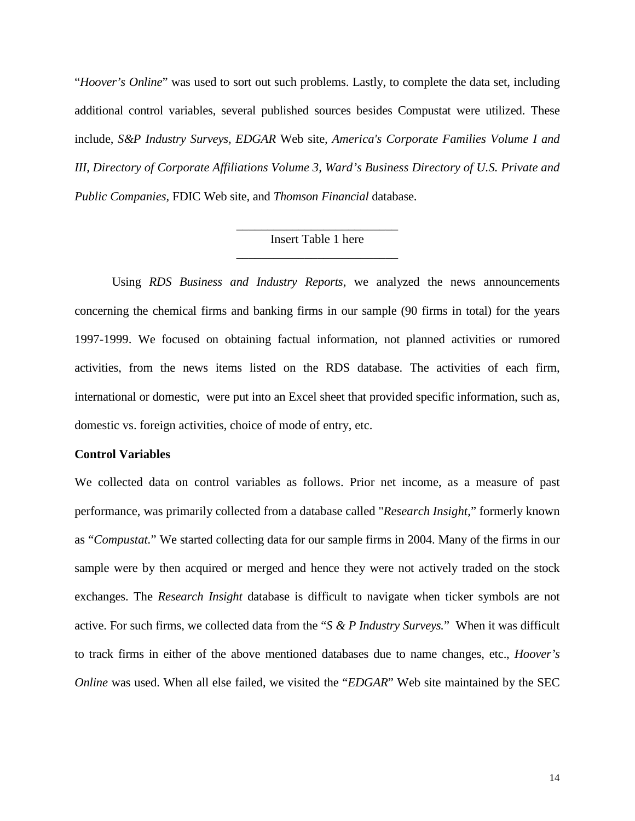"*Hoover's Online*" was used to sort out such problems. Lastly, to complete the data set, including additional control variables, several published sources besides Compustat were utilized. These include, *S&P Industry Surveys, EDGAR* Web site*, America's Corporate Families Volume I and III, Directory of Corporate Affiliations Volume 3, Ward's Business Directory of U.S. Private and Public Companies,* FDIC Web site*,* and *Thomson Financial* database.

# \_\_\_\_\_\_\_\_\_\_\_\_\_\_\_\_\_\_\_\_\_\_\_\_\_\_ Insert Table 1 here \_\_\_\_\_\_\_\_\_\_\_\_\_\_\_\_\_\_\_\_\_\_\_\_\_\_

Using *RDS Business and Industry Reports*, we analyzed the news announcements concerning the chemical firms and banking firms in our sample (90 firms in total) for the years 1997-1999. We focused on obtaining factual information, not planned activities or rumored activities, from the news items listed on the RDS database. The activities of each firm, international or domestic, were put into an Excel sheet that provided specific information, such as, domestic vs. foreign activities, choice of mode of entry, etc.

#### **Control Variables**

We collected data on control variables as follows. Prior net income, as a measure of past performance, was primarily collected from a database called "*Research Insight*," formerly known as "*Compustat.*" We started collecting data for our sample firms in 2004. Many of the firms in our sample were by then acquired or merged and hence they were not actively traded on the stock exchanges. The *Research Insight* database is difficult to navigate when ticker symbols are not active. For such firms, we collected data from the "*S & P Industry Surveys.*" When it was difficult to track firms in either of the above mentioned databases due to name changes, etc., *Hoover's Online* was used. When all else failed, we visited the "*EDGAR*" Web site maintained by the SEC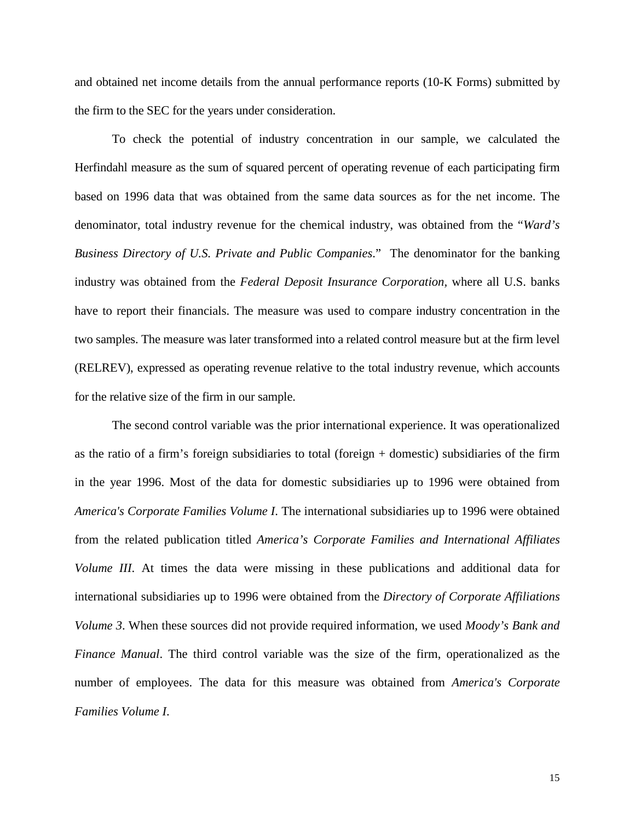and obtained net income details from the annual performance reports (10-K Forms) submitted by the firm to the SEC for the years under consideration.

To check the potential of industry concentration in our sample, we calculated the Herfindahl measure as the sum of squared percent of operating revenue of each participating firm based on 1996 data that was obtained from the same data sources as for the net income. The denominator, total industry revenue for the chemical industry, was obtained from the "*Ward's Business Directory of U.S. Private and Public Companies*." The denominator for the banking industry was obtained from the *Federal Deposit Insurance Corporation,* where all U.S. banks have to report their financials. The measure was used to compare industry concentration in the two samples. The measure was later transformed into a related control measure but at the firm level (RELREV), expressed as operating revenue relative to the total industry revenue, which accounts for the relative size of the firm in our sample.

The second control variable was the prior international experience. It was operationalized as the ratio of a firm's foreign subsidiaries to total (foreign + domestic) subsidiaries of the firm in the year 1996. Most of the data for domestic subsidiaries up to 1996 were obtained from *America's Corporate Families Volume I*. The international subsidiaries up to 1996 were obtained from the related publication titled *America's Corporate Families and International Affiliates Volume III*. At times the data were missing in these publications and additional data for international subsidiaries up to 1996 were obtained from the *Directory of Corporate Affiliations Volume 3*. When these sources did not provide required information, we used *Moody's Bank and Finance Manual*. The third control variable was the size of the firm, operationalized as the number of employees. The data for this measure was obtained from *America's Corporate Families Volume I*.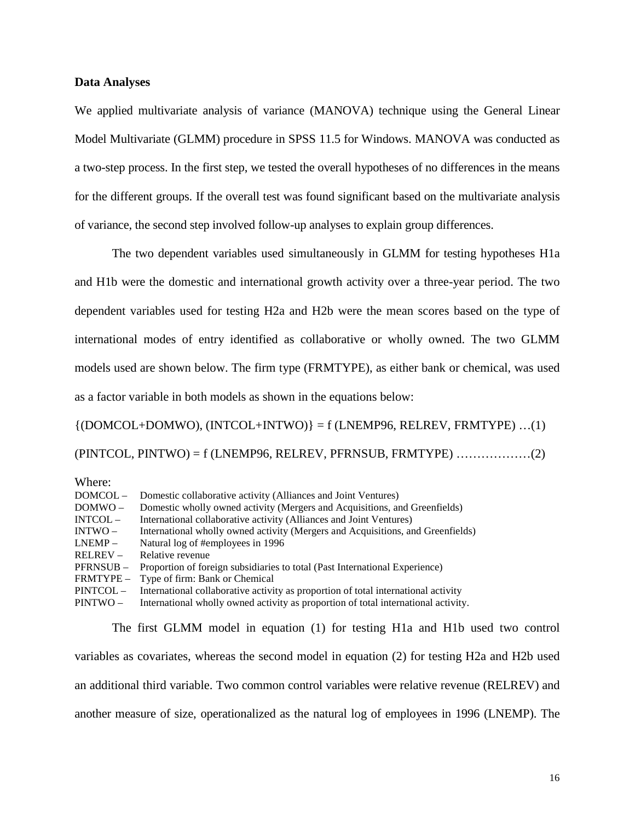#### **Data Analyses**

We applied multivariate analysis of variance (MANOVA) technique using the General Linear Model Multivariate (GLMM) procedure in SPSS 11.5 for Windows. MANOVA was conducted as a two-step process. In the first step, we tested the overall hypotheses of no differences in the means for the different groups. If the overall test was found significant based on the multivariate analysis of variance, the second step involved follow-up analyses to explain group differences.

The two dependent variables used simultaneously in GLMM for testing hypotheses H1a and H1b were the domestic and international growth activity over a three-year period. The two dependent variables used for testing H2a and H2b were the mean scores based on the type of international modes of entry identified as collaborative or wholly owned. The two GLMM models used are shown below. The firm type (FRMTYPE), as either bank or chemical, was used as a factor variable in both models as shown in the equations below:

 $\{ (DOMCOL+DOMWO), (INTCOL+INTWO) \} = f (LNEMP96, RELREV, FRMTYPE) ... (1)$ (PINTCOL, PINTWO) = f (LNEMP96, RELREV, PFRNSUB, FRMTYPE) ………………(2)

Where:

| $DOMCOL -$  | Domestic collaborative activity (Alliances and Joint Ventures)                     |
|-------------|------------------------------------------------------------------------------------|
| $DOMWO -$   | Domestic wholly owned activity (Mergers and Acquisitions, and Greenfields)         |
| $INTCOL -$  | International collaborative activity (Alliances and Joint Ventures)                |
| $INTWO -$   | International wholly owned activity (Mergers and Acquisitions, and Greenfields)    |
| $LNEMP -$   | Natural log of #employees in 1996                                                  |
| $RELREV -$  | Relative revenue                                                                   |
| PFRNSUB-    | Proportion of foreign subsidiaries to total (Past International Experience)        |
| FRMTYPE –   | Type of firm: Bank or Chemical                                                     |
| $PINTCOL -$ | International collaborative activity as proportion of total international activity |
| $PINTWO -$  | International wholly owned activity as proportion of total international activity. |

The first GLMM model in equation (1) for testing H1a and H1b used two control variables as covariates, whereas the second model in equation (2) for testing H2a and H2b used an additional third variable. Two common control variables were relative revenue (RELREV) and another measure of size, operationalized as the natural log of employees in 1996 (LNEMP). The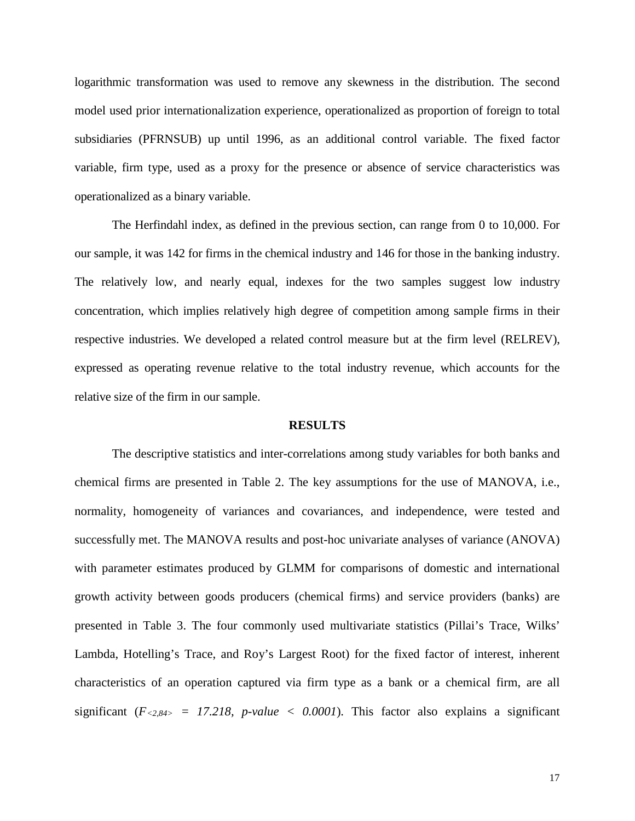logarithmic transformation was used to remove any skewness in the distribution. The second model used prior internationalization experience, operationalized as proportion of foreign to total subsidiaries (PFRNSUB) up until 1996, as an additional control variable. The fixed factor variable, firm type, used as a proxy for the presence or absence of service characteristics was operationalized as a binary variable.

The Herfindahl index, as defined in the previous section, can range from 0 to 10,000. For our sample, it was 142 for firms in the chemical industry and 146 for those in the banking industry. The relatively low, and nearly equal, indexes for the two samples suggest low industry concentration, which implies relatively high degree of competition among sample firms in their respective industries. We developed a related control measure but at the firm level (RELREV), expressed as operating revenue relative to the total industry revenue, which accounts for the relative size of the firm in our sample.

#### **RESULTS**

The descriptive statistics and inter-correlations among study variables for both banks and chemical firms are presented in Table 2. The key assumptions for the use of MANOVA, i.e., normality, homogeneity of variances and covariances, and independence, were tested and successfully met. The MANOVA results and post-hoc univariate analyses of variance (ANOVA) with parameter estimates produced by GLMM for comparisons of domestic and international growth activity between goods producers (chemical firms) and service providers (banks) are presented in Table 3. The four commonly used multivariate statistics (Pillai's Trace, Wilks' Lambda, Hotelling's Trace, and Roy's Largest Root) for the fixed factor of interest, inherent characteristics of an operation captured via firm type as a bank or a chemical firm, are all significant  $(F_{<2,84>} = 17.218, p-value < 0.0001)$ . This factor also explains a significant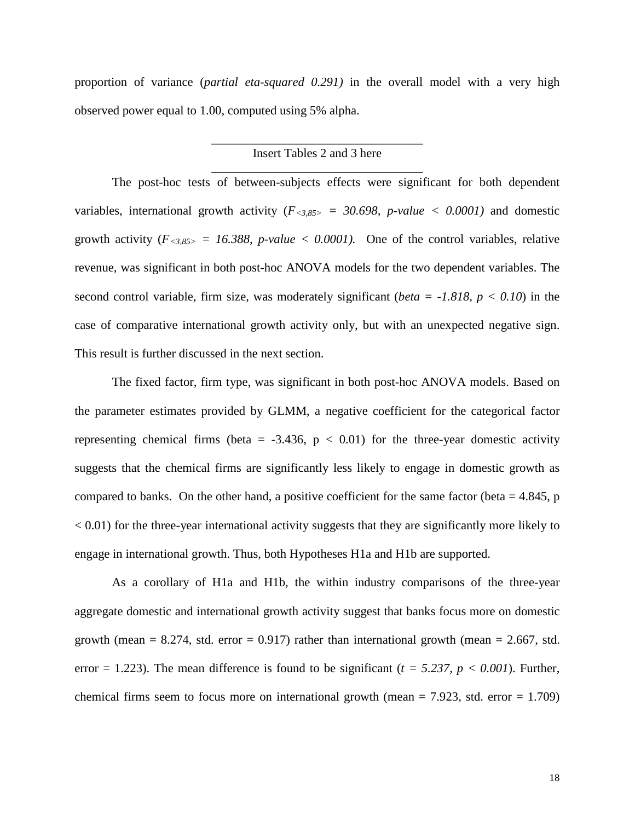proportion of variance (*partial eta-squared 0.291)* in the overall model with a very high observed power equal to 1.00, computed using 5% alpha.

# \_\_\_\_\_\_\_\_\_\_\_\_\_\_\_\_\_\_\_\_\_\_\_\_\_\_\_\_\_\_\_\_\_\_ Insert Tables 2 and 3 here \_\_\_\_\_\_\_\_\_\_\_\_\_\_\_\_\_\_\_\_\_\_\_\_\_\_\_\_\_\_\_\_\_\_

The post-hoc tests of between-subjects effects were significant for both dependent variables, international growth activity  $(F_{<3,85>} = 30.698, p-value < 0.0001)$  and domestic growth activity  $(F_{<3,85>} = 16.388, p-value < 0.0001)$ . One of the control variables, relative revenue, was significant in both post-hoc ANOVA models for the two dependent variables. The second control variable, firm size, was moderately significant (*beta = -1.818, p < 0.10*) in the case of comparative international growth activity only, but with an unexpected negative sign. This result is further discussed in the next section.

The fixed factor, firm type, was significant in both post-hoc ANOVA models. Based on the parameter estimates provided by GLMM, a negative coefficient for the categorical factor representing chemical firms (beta =  $-3.436$ ,  $p < 0.01$ ) for the three-year domestic activity suggests that the chemical firms are significantly less likely to engage in domestic growth as compared to banks. On the other hand, a positive coefficient for the same factor (beta  $= 4.845$ , p  $< 0.01$ ) for the three-year international activity suggests that they are significantly more likely to engage in international growth. Thus, both Hypotheses H1a and H1b are supported.

As a corollary of H1a and H1b, the within industry comparisons of the three-year aggregate domestic and international growth activity suggest that banks focus more on domestic growth (mean  $= 8.274$ , std. error  $= 0.917$ ) rather than international growth (mean  $= 2.667$ , std. error  $= 1.223$ ). The mean difference is found to be significant ( $t = 5.237$ ,  $p < 0.001$ ). Further, chemical firms seem to focus more on international growth (mean  $= 7.923$ , std. error  $= 1.709$ )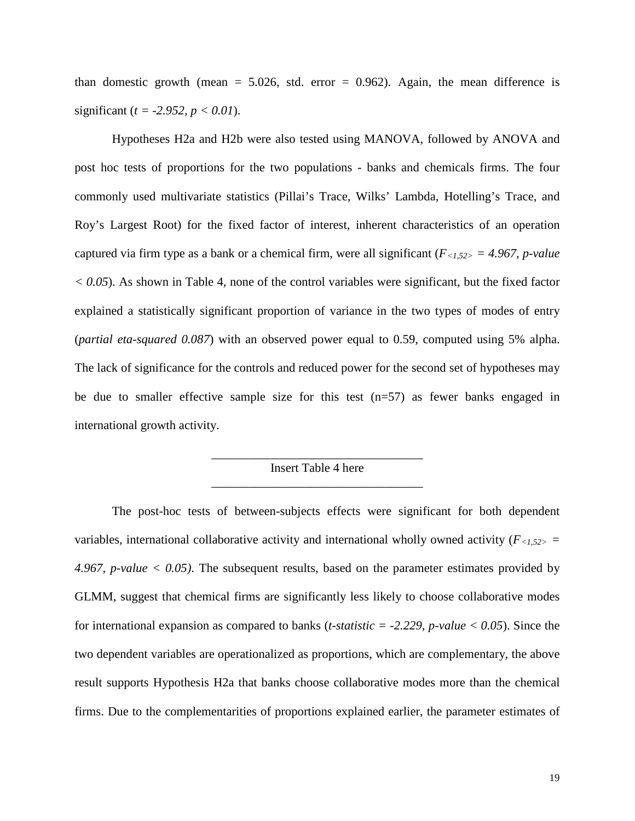than domestic growth (mean  $= 5.026$ , std. error  $= 0.962$ ). Again, the mean difference is significant (*t = -2.952, p < 0.01*).

Hypotheses H2a and H2b were also tested using MANOVA, followed by ANOVA and post hoc tests of proportions for the two populations - banks and chemicals firms. The four commonly used multivariate statistics (Pillai's Trace, Wilks' Lambda, Hotelling's Trace, and Roy's Largest Root) for the fixed factor of interest, inherent characteristics of an operation captured via firm type as a bank or a chemical firm, were all significant (*F<1,52> = 4.967, p-value*   $<$  0.05). As shown in Table 4, none of the control variables were significant, but the fixed factor explained a statistically significant proportion of variance in the two types of modes of entry (*partial eta-squared 0.087*) with an observed power equal to 0.59, computed using 5% alpha. The lack of significance for the controls and reduced power for the second set of hypotheses may be due to smaller effective sample size for this test  $(n=57)$  as fewer banks engaged in international growth activity.

# \_\_\_\_\_\_\_\_\_\_\_\_\_\_\_\_\_\_\_\_\_\_\_\_\_\_\_\_\_\_\_\_\_\_ Insert Table 4 here \_\_\_\_\_\_\_\_\_\_\_\_\_\_\_\_\_\_\_\_\_\_\_\_\_\_\_\_\_\_\_\_\_\_

The post-hoc tests of between-subjects effects were significant for both dependent variables, international collaborative activity and international wholly owned activity  $(F_{\leq 1,52>}$ *4.967, p-value < 0.05)*. The subsequent results, based on the parameter estimates provided by GLMM, suggest that chemical firms are significantly less likely to choose collaborative modes for international expansion as compared to banks (*t-statistic = -2.229, p-value < 0.05*). Since the two dependent variables are operationalized as proportions, which are complementary, the above result supports Hypothesis H2a that banks choose collaborative modes more than the chemical firms. Due to the complementarities of proportions explained earlier, the parameter estimates of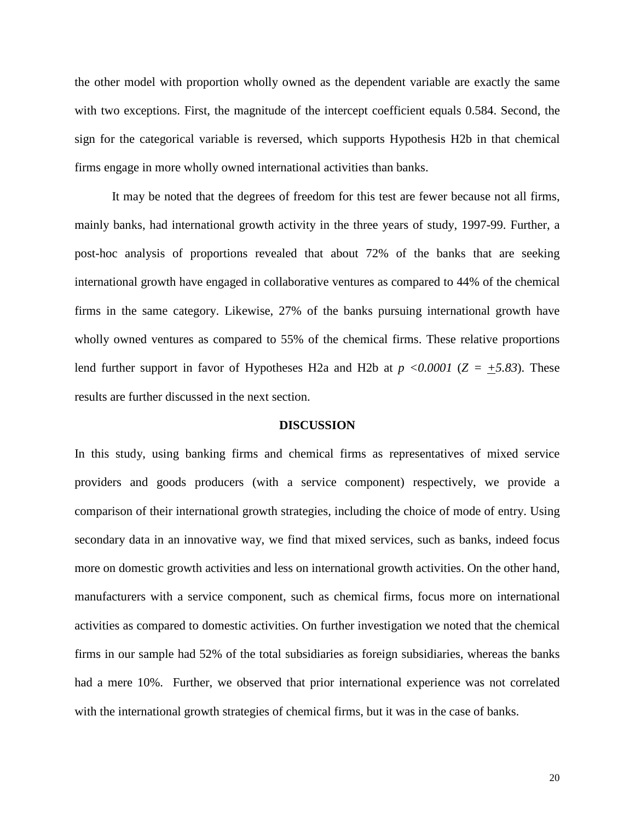the other model with proportion wholly owned as the dependent variable are exactly the same with two exceptions. First, the magnitude of the intercept coefficient equals 0.584. Second, the sign for the categorical variable is reversed, which supports Hypothesis H2b in that chemical firms engage in more wholly owned international activities than banks.

It may be noted that the degrees of freedom for this test are fewer because not all firms, mainly banks, had international growth activity in the three years of study, 1997-99. Further, a post-hoc analysis of proportions revealed that about 72% of the banks that are seeking international growth have engaged in collaborative ventures as compared to 44% of the chemical firms in the same category. Likewise, 27% of the banks pursuing international growth have wholly owned ventures as compared to 55% of the chemical firms. These relative proportions lend further support in favor of Hypotheses H2a and H2b at  $p \le 0.0001$  ( $Z = \pm 5.83$ ). These results are further discussed in the next section.

#### **DISCUSSION**

In this study, using banking firms and chemical firms as representatives of mixed service providers and goods producers (with a service component) respectively, we provide a comparison of their international growth strategies, including the choice of mode of entry. Using secondary data in an innovative way, we find that mixed services, such as banks, indeed focus more on domestic growth activities and less on international growth activities. On the other hand, manufacturers with a service component, such as chemical firms, focus more on international activities as compared to domestic activities. On further investigation we noted that the chemical firms in our sample had 52% of the total subsidiaries as foreign subsidiaries, whereas the banks had a mere 10%. Further, we observed that prior international experience was not correlated with the international growth strategies of chemical firms, but it was in the case of banks.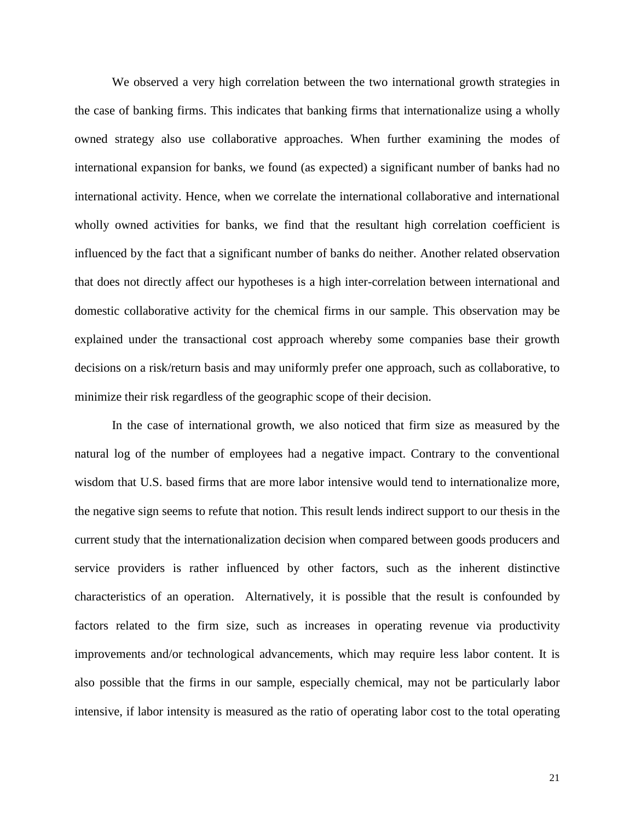We observed a very high correlation between the two international growth strategies in the case of banking firms. This indicates that banking firms that internationalize using a wholly owned strategy also use collaborative approaches. When further examining the modes of international expansion for banks, we found (as expected) a significant number of banks had no international activity. Hence, when we correlate the international collaborative and international wholly owned activities for banks, we find that the resultant high correlation coefficient is influenced by the fact that a significant number of banks do neither. Another related observation that does not directly affect our hypotheses is a high inter-correlation between international and domestic collaborative activity for the chemical firms in our sample. This observation may be explained under the transactional cost approach whereby some companies base their growth decisions on a risk/return basis and may uniformly prefer one approach, such as collaborative, to minimize their risk regardless of the geographic scope of their decision.

In the case of international growth, we also noticed that firm size as measured by the natural log of the number of employees had a negative impact. Contrary to the conventional wisdom that U.S. based firms that are more labor intensive would tend to internationalize more, the negative sign seems to refute that notion. This result lends indirect support to our thesis in the current study that the internationalization decision when compared between goods producers and service providers is rather influenced by other factors, such as the inherent distinctive characteristics of an operation. Alternatively, it is possible that the result is confounded by factors related to the firm size, such as increases in operating revenue via productivity improvements and/or technological advancements, which may require less labor content. It is also possible that the firms in our sample, especially chemical, may not be particularly labor intensive, if labor intensity is measured as the ratio of operating labor cost to the total operating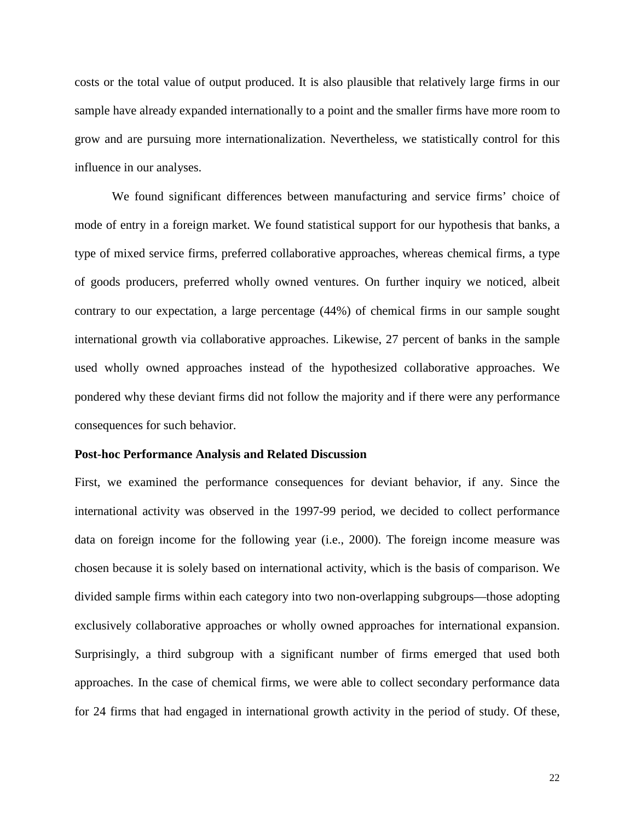costs or the total value of output produced. It is also plausible that relatively large firms in our sample have already expanded internationally to a point and the smaller firms have more room to grow and are pursuing more internationalization. Nevertheless, we statistically control for this influence in our analyses.

We found significant differences between manufacturing and service firms' choice of mode of entry in a foreign market. We found statistical support for our hypothesis that banks, a type of mixed service firms, preferred collaborative approaches, whereas chemical firms, a type of goods producers, preferred wholly owned ventures. On further inquiry we noticed, albeit contrary to our expectation, a large percentage (44%) of chemical firms in our sample sought international growth via collaborative approaches. Likewise, 27 percent of banks in the sample used wholly owned approaches instead of the hypothesized collaborative approaches. We pondered why these deviant firms did not follow the majority and if there were any performance consequences for such behavior.

# **Post-hoc Performance Analysis and Related Discussion**

First, we examined the performance consequences for deviant behavior, if any. Since the international activity was observed in the 1997-99 period, we decided to collect performance data on foreign income for the following year (i.e., 2000). The foreign income measure was chosen because it is solely based on international activity, which is the basis of comparison. We divided sample firms within each category into two non-overlapping subgroups—those adopting exclusively collaborative approaches or wholly owned approaches for international expansion. Surprisingly, a third subgroup with a significant number of firms emerged that used both approaches. In the case of chemical firms, we were able to collect secondary performance data for 24 firms that had engaged in international growth activity in the period of study. Of these,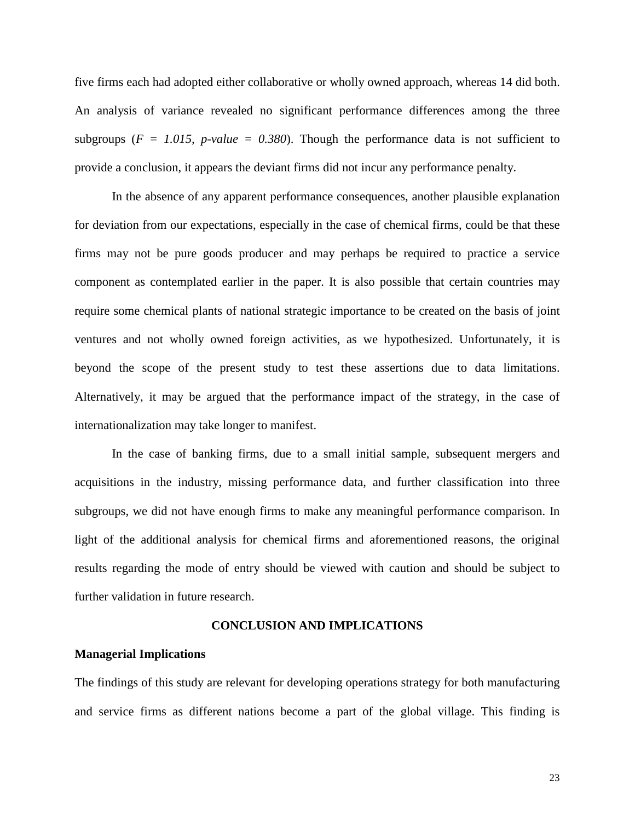five firms each had adopted either collaborative or wholly owned approach, whereas 14 did both. An analysis of variance revealed no significant performance differences among the three subgroups ( $F = 1.015$ ,  $p-value = 0.380$ ). Though the performance data is not sufficient to provide a conclusion, it appears the deviant firms did not incur any performance penalty.

In the absence of any apparent performance consequences, another plausible explanation for deviation from our expectations, especially in the case of chemical firms, could be that these firms may not be pure goods producer and may perhaps be required to practice a service component as contemplated earlier in the paper. It is also possible that certain countries may require some chemical plants of national strategic importance to be created on the basis of joint ventures and not wholly owned foreign activities, as we hypothesized. Unfortunately, it is beyond the scope of the present study to test these assertions due to data limitations. Alternatively, it may be argued that the performance impact of the strategy, in the case of internationalization may take longer to manifest.

In the case of banking firms, due to a small initial sample, subsequent mergers and acquisitions in the industry, missing performance data, and further classification into three subgroups, we did not have enough firms to make any meaningful performance comparison. In light of the additional analysis for chemical firms and aforementioned reasons, the original results regarding the mode of entry should be viewed with caution and should be subject to further validation in future research.

#### **CONCLUSION AND IMPLICATIONS**

#### **Managerial Implications**

The findings of this study are relevant for developing operations strategy for both manufacturing and service firms as different nations become a part of the global village. This finding is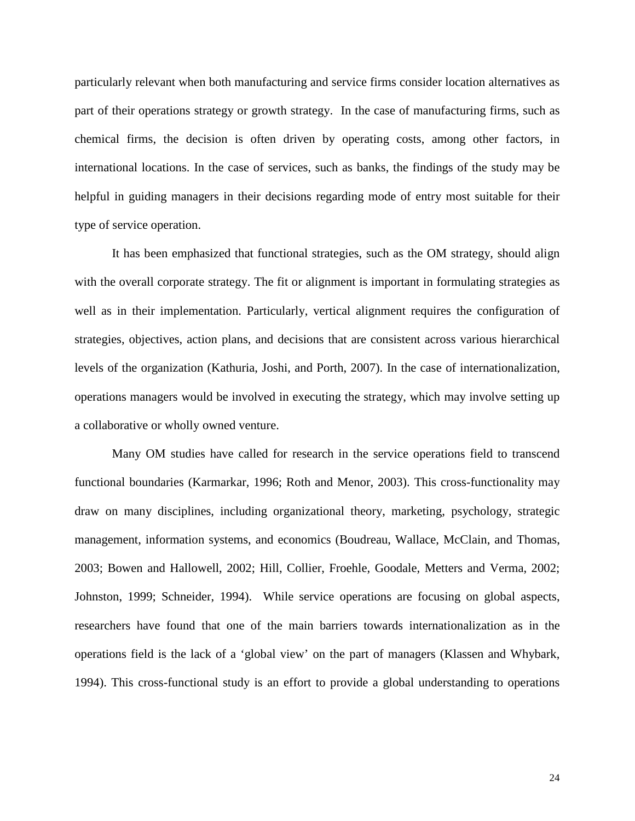particularly relevant when both manufacturing and service firms consider location alternatives as part of their operations strategy or growth strategy. In the case of manufacturing firms, such as chemical firms, the decision is often driven by operating costs, among other factors, in international locations. In the case of services, such as banks, the findings of the study may be helpful in guiding managers in their decisions regarding mode of entry most suitable for their type of service operation.

It has been emphasized that functional strategies, such as the OM strategy, should align with the overall corporate strategy. The fit or alignment is important in formulating strategies as well as in their implementation. Particularly, vertical alignment requires the configuration of strategies, objectives, action plans, and decisions that are consistent across various hierarchical levels of the organization (Kathuria, Joshi, and Porth, 2007). In the case of internationalization, operations managers would be involved in executing the strategy, which may involve setting up a collaborative or wholly owned venture.

Many OM studies have called for research in the service operations field to transcend functional boundaries (Karmarkar, 1996; Roth and Menor, 2003). This cross-functionality may draw on many disciplines, including organizational theory, marketing, psychology, strategic management, information systems, and economics (Boudreau, Wallace, McClain, and Thomas, 2003; Bowen and Hallowell, 2002; Hill, Collier, Froehle, Goodale, Metters and Verma, 2002; Johnston, 1999; Schneider, 1994). While service operations are focusing on global aspects, researchers have found that one of the main barriers towards internationalization as in the operations field is the lack of a 'global view' on the part of managers (Klassen and Whybark, 1994). This cross-functional study is an effort to provide a global understanding to operations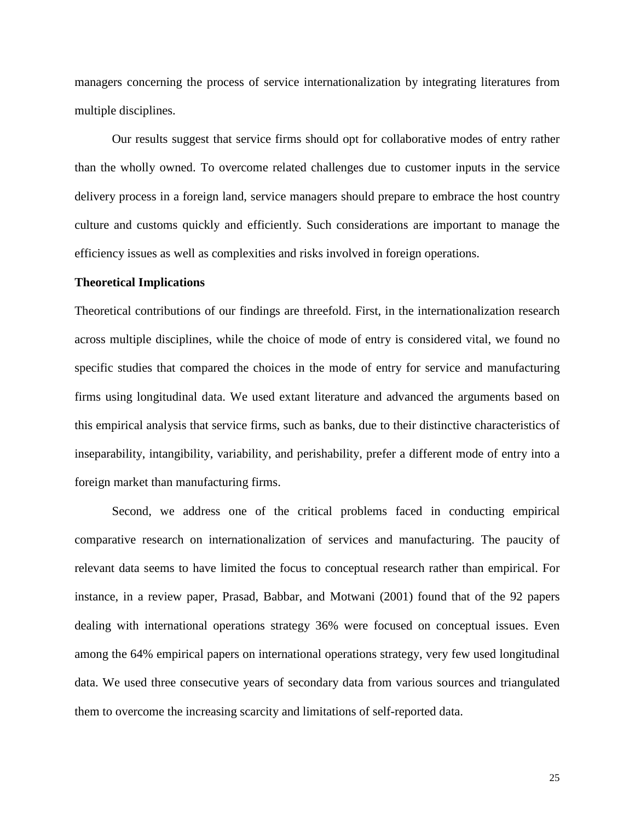managers concerning the process of service internationalization by integrating literatures from multiple disciplines.

Our results suggest that service firms should opt for collaborative modes of entry rather than the wholly owned. To overcome related challenges due to customer inputs in the service delivery process in a foreign land, service managers should prepare to embrace the host country culture and customs quickly and efficiently. Such considerations are important to manage the efficiency issues as well as complexities and risks involved in foreign operations.

#### **Theoretical Implications**

Theoretical contributions of our findings are threefold. First, in the internationalization research across multiple disciplines, while the choice of mode of entry is considered vital, we found no specific studies that compared the choices in the mode of entry for service and manufacturing firms using longitudinal data. We used extant literature and advanced the arguments based on this empirical analysis that service firms, such as banks, due to their distinctive characteristics of inseparability, intangibility, variability, and perishability, prefer a different mode of entry into a foreign market than manufacturing firms.

Second, we address one of the critical problems faced in conducting empirical comparative research on internationalization of services and manufacturing. The paucity of relevant data seems to have limited the focus to conceptual research rather than empirical. For instance, in a review paper, Prasad, Babbar, and Motwani (2001) found that of the 92 papers dealing with international operations strategy 36% were focused on conceptual issues. Even among the 64% empirical papers on international operations strategy, very few used longitudinal data. We used three consecutive years of secondary data from various sources and triangulated them to overcome the increasing scarcity and limitations of self-reported data.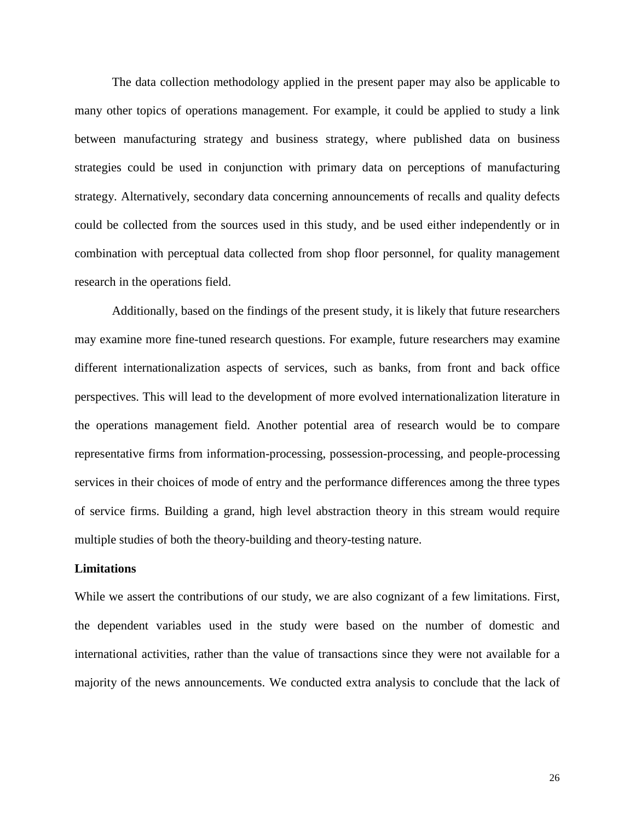The data collection methodology applied in the present paper may also be applicable to many other topics of operations management. For example, it could be applied to study a link between manufacturing strategy and business strategy, where published data on business strategies could be used in conjunction with primary data on perceptions of manufacturing strategy. Alternatively, secondary data concerning announcements of recalls and quality defects could be collected from the sources used in this study, and be used either independently or in combination with perceptual data collected from shop floor personnel, for quality management research in the operations field.

Additionally, based on the findings of the present study, it is likely that future researchers may examine more fine-tuned research questions. For example, future researchers may examine different internationalization aspects of services, such as banks, from front and back office perspectives. This will lead to the development of more evolved internationalization literature in the operations management field. Another potential area of research would be to compare representative firms from information-processing, possession-processing, and people-processing services in their choices of mode of entry and the performance differences among the three types of service firms. Building a grand, high level abstraction theory in this stream would require multiple studies of both the theory-building and theory-testing nature.

#### **Limitations**

While we assert the contributions of our study, we are also cognizant of a few limitations. First, the dependent variables used in the study were based on the number of domestic and international activities, rather than the value of transactions since they were not available for a majority of the news announcements. We conducted extra analysis to conclude that the lack of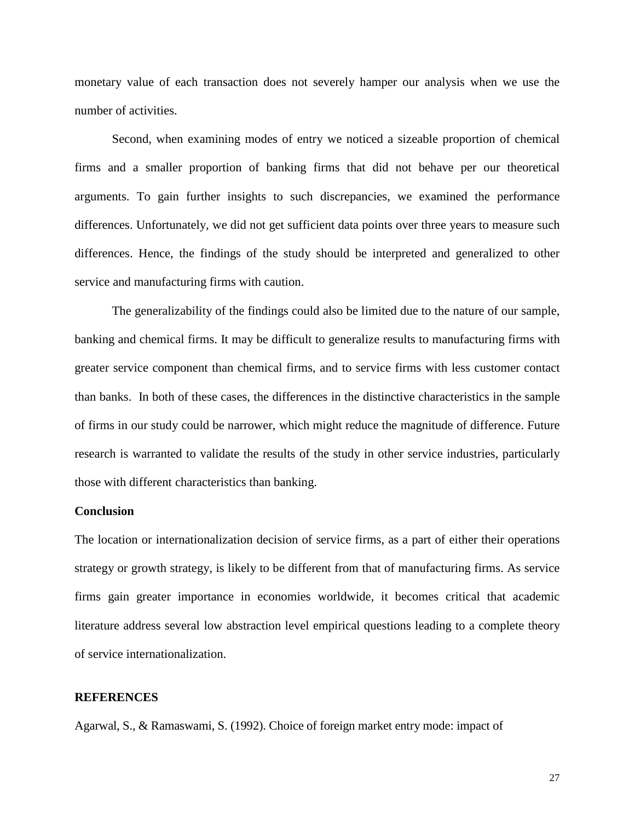monetary value of each transaction does not severely hamper our analysis when we use the number of activities.

Second, when examining modes of entry we noticed a sizeable proportion of chemical firms and a smaller proportion of banking firms that did not behave per our theoretical arguments. To gain further insights to such discrepancies, we examined the performance differences. Unfortunately, we did not get sufficient data points over three years to measure such differences. Hence, the findings of the study should be interpreted and generalized to other service and manufacturing firms with caution.

The generalizability of the findings could also be limited due to the nature of our sample, banking and chemical firms. It may be difficult to generalize results to manufacturing firms with greater service component than chemical firms, and to service firms with less customer contact than banks. In both of these cases, the differences in the distinctive characteristics in the sample of firms in our study could be narrower, which might reduce the magnitude of difference. Future research is warranted to validate the results of the study in other service industries, particularly those with different characteristics than banking.

#### **Conclusion**

The location or internationalization decision of service firms, as a part of either their operations strategy or growth strategy, is likely to be different from that of manufacturing firms. As service firms gain greater importance in economies worldwide, it becomes critical that academic literature address several low abstraction level empirical questions leading to a complete theory of service internationalization.

# **REFERENCES**

Agarwal, S., & Ramaswami, S. (1992). Choice of foreign market entry mode: impact of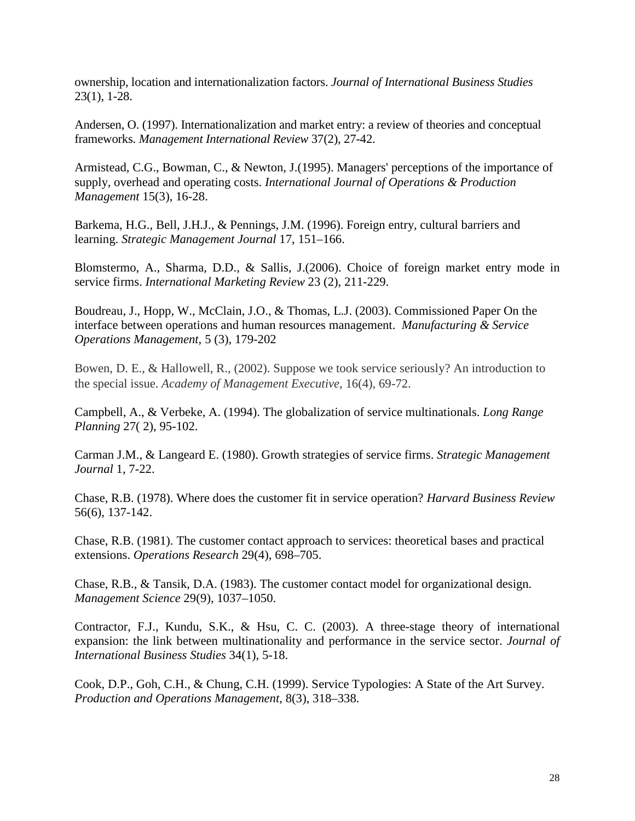ownership, location and internationalization factors. *Journal of International Business Studies* 23(1), 1-28.

Andersen, O. (1997). Internationalization and market entry: a review of theories and conceptual frameworks. *Management International Review* 37(2), 27-42.

Armistead, C.G., Bowman, C., & Newton, J.(1995). Managers' perceptions of the importance of supply, overhead and operating costs. *International Journal of Operations & Production Management* 15(3), 16-28.

Barkema, H.G., Bell, J.H.J., & Pennings, J.M. (1996). Foreign entry, cultural barriers and learning. *Strategic Management Journal* 17, 151–166.

Blomstermo, A., Sharma, D.D., & Sallis, J.(2006). Choice of foreign market entry mode in service firms. *International Marketing Review* 23 (2), 211-229.

Boudreau, J., Hopp, W., McClain, J.O., & Thomas, L.J. (2003). Commissioned Paper On the interface between operations and human resources management. *Manufacturing & Service Operations Management*, 5 (3), 179-202

Bowen, D. E., & Hallowell, R., (2002). Suppose we took service seriously? An introduction to the special issue. *Academy of Management Executive*, 16(4), 69-72.

Campbell, A., & Verbeke, A. (1994). The globalization of service multinationals. *Long Range Planning* 27( 2), 95-102.

Carman J.M., & Langeard E. (1980). Growth strategies of service firms. *Strategic Management Journal* 1, 7-22.

Chase, R.B. (1978). Where does the customer fit in service operation? *Harvard Business Review* 56(6), 137-142.

Chase, R.B. (1981). The customer contact approach to services: theoretical bases and practical extensions. *Operations Research* 29(4), 698–705.

Chase, R.B., & Tansik, D.A. (1983). The customer contact model for organizational design. *Management Science* 29(9), 1037–1050.

Contractor, F.J., Kundu, S.K., & Hsu, C. C. (2003). A three-stage theory of international expansion: the link between multinationality and performance in the service sector. *Journal of International Business Studies* 34(1), 5-18.

Cook, D.P., Goh, C.H., & Chung, C.H. (1999). Service Typologies: A State of the Art Survey. *Production and Operations Management*, 8(3), 318–338.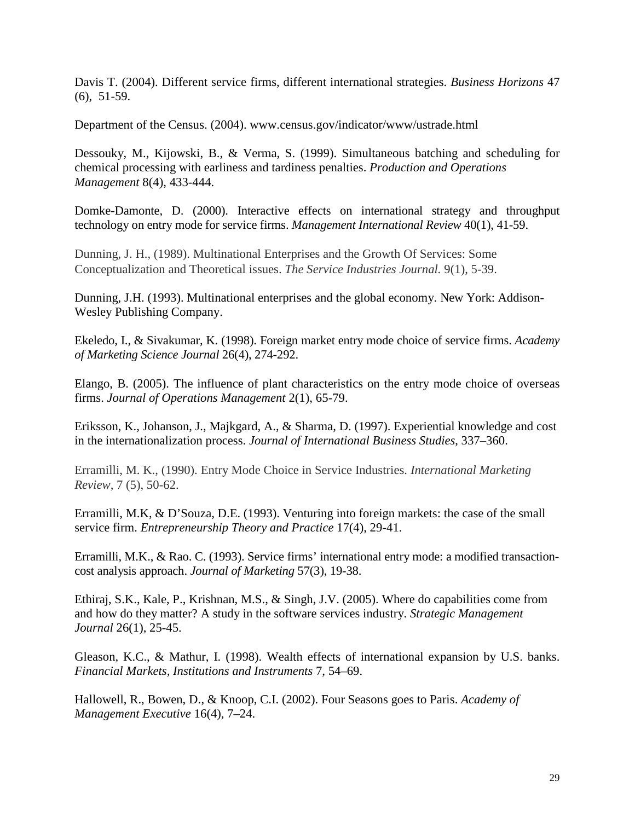Davis T. (2004). Different service firms, different international strategies. *Business Horizons* 47 (6), 51-59.

Department of the Census. (2004). www.census.gov/indicator/www/ustrade.html

Dessouky, M., Kijowski, B., & Verma, S. (1999). Simultaneous batching and scheduling for chemical processing with earliness and tardiness penalties. *Production and Operations Management* 8(4), 433-444.

Domke-Damonte, D. (2000). Interactive effects on international strategy and throughput technology on entry mode for service firms. *Management International Review* 40(1), 41-59.

Dunning, J. H., (1989). Multinational Enterprises and the Growth Of Services: Some Conceptualization and Theoretical issues. *The Service Industries Journal.* 9(1), 5-39.

Dunning, J.H. (1993). Multinational enterprises and the global economy. New York: Addison-Wesley Publishing Company.

Ekeledo, I., & Sivakumar, K. (1998). Foreign market entry mode choice of service firms. *Academy of Marketing Science Journal* 26(4), 274-292.

Elango, B. (2005). The influence of plant characteristics on the entry mode choice of overseas firms. *Journal of Operations Management* 2(1), 65-79.

Eriksson, K., Johanson, J., Majkgard, A., & Sharma, D. (1997). Experiential knowledge and cost in the internationalization process. *Journal of International Business Studies*, 337–360.

Erramilli, M. K., (1990). Entry Mode Choice in Service Industries. *International Marketing Review*, 7 (5), 50-62.

Erramilli, M.K, & D'Souza, D.E. (1993). Venturing into foreign markets: the case of the small service firm. *Entrepreneurship Theory and Practice* 17(4), 29-41.

Erramilli, M.K., & Rao. C. (1993). Service firms' international entry mode: a modified transactioncost analysis approach. *Journal of Marketing* 57(3), 19-38.

Ethiraj, S.K., Kale, P., Krishnan, M.S., & Singh, J.V. (2005). Where do capabilities come from and how do they matter? A study in the software services industry. *Strategic Management Journal* 26(1), 25-45.

Gleason, K.C., & Mathur, I. (1998). Wealth effects of international expansion by U.S. banks. *Financial Markets, Institutions and Instruments* 7, 54–69.

Hallowell, R., Bowen, D., & Knoop, C.I. (2002). Four Seasons goes to Paris. *Academy of Management Executive* 16(4), 7–24.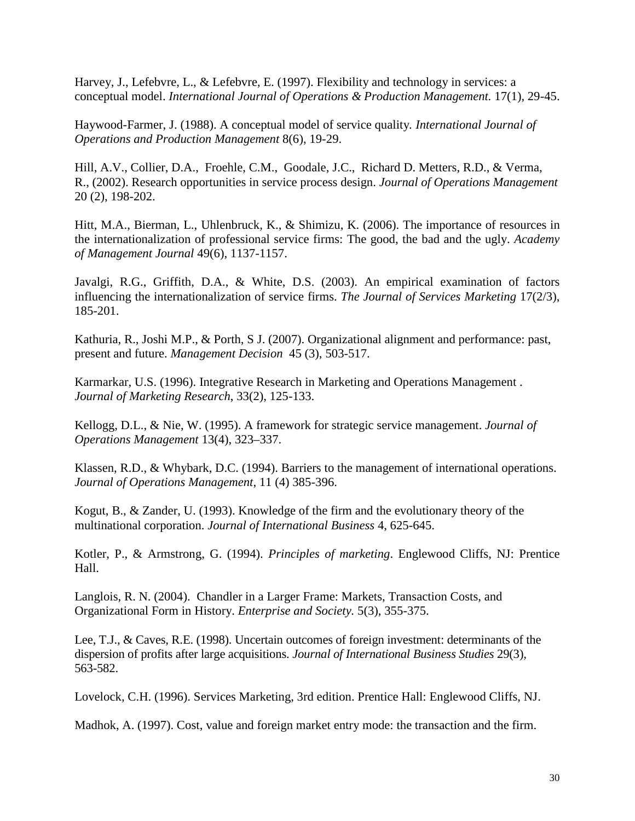Harvey, J., Lefebvre, L., & Lefebvre, E. (1997). Flexibility and technology in services: a conceptual model. *International Journal of Operations & Production Management.* 17(1), 29-45.

Haywood-Farmer, J. (1988). A conceptual model of service quality*. International Journal of Operations and Production Management* 8(6), 19-29.

Hill, A.V., Collier, D.A., Froehle, C.M., Goodale, J.C., Richard D. Metters, R.D., & Verma, R., (2002). Research opportunities in service process design. *[Journal of Operations Management](http://www.sciencedirect.com/science/journal/02726963)* 20 (2), 198-202.

Hitt, M.A., Bierman, L., Uhlenbruck, K., & Shimizu, K. (2006). The importance of resources in the internationalization of professional service firms: The good, the bad and the ugly. *Academy of Management Journal* 49(6), 1137-1157.

Javalgi, R.G., Griffith, D.A., & White, D.S. (2003). An empirical examination of factors influencing the internationalization of service firms. *The Journal of Services Marketing* 17(2/3), 185-201.

Kathuria, R., Joshi M.P., & Porth, S J. (2007). Organizational alignment and performance: past, present and future. *Management Decision* 45 (3), 503-517.

Karmarkar, U.S. (1996). Integrative Research in Marketing and Operations Management . *Journal of Marketing Research*, 33(2), 125-133.

Kellogg, D.L., & Nie, W. (1995). A framework for strategic service management. *Journal of Operations Management* 13(4), 323–337.

Klassen, R.D., & Whybark, D.C. (1994). Barriers to the management of international operations. *Journal of Operations Management*, 11 (4) 385-396.

Kogut, B., & Zander, U. (1993). Knowledge of the firm and the evolutionary theory of the multinational corporation. *Journal of International Business* 4, 625-645.

Kotler, P., & Armstrong, G. (1994). *Principles of marketing*. Englewood Cliffs, NJ: Prentice Hall.

Langlois, R. N. (2004). Chandler in a Larger Frame: Markets, Transaction Costs, and Organizational Form in History. *Enterprise and Society.* 5(3), 355-375.

Lee, T.J., & Caves, R.E. (1998). Uncertain outcomes of foreign investment: determinants of the dispersion of profits after large acquisitions. *Journal of International Business Studies* 29(3), 563-582.

Lovelock, C.H. (1996). Services Marketing, 3rd edition. Prentice Hall: Englewood Cliffs, NJ.

Madhok, A. (1997). Cost, value and foreign market entry mode: the transaction and the firm.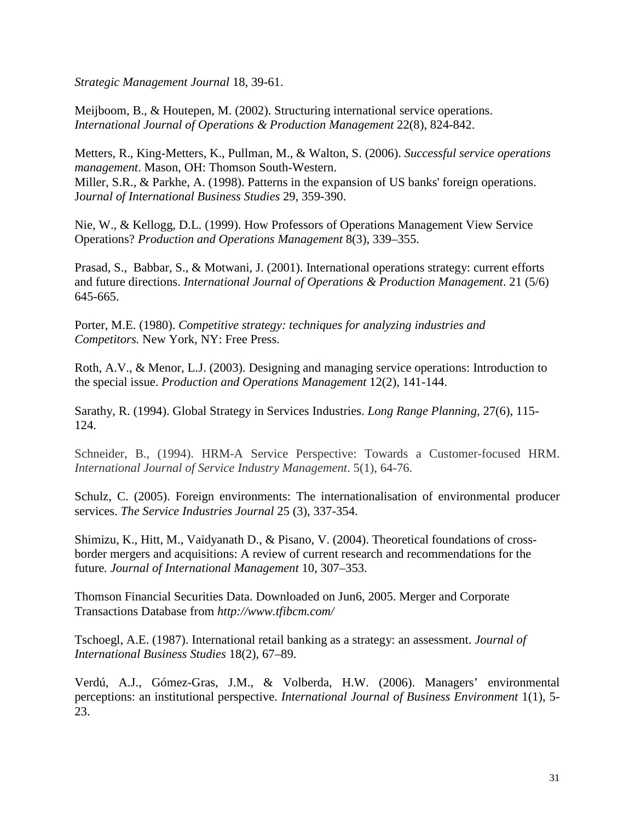*Strategic Management Journal* 18, 39-61.

Meijboom, B., & Houtepen, M. (2002). Structuring international service operations. *International Journal of Operations & Production Management* 22(8), 824-842.

Metters, R., King-Metters, K., Pullman, M., & Walton, S. (2006). *Successful service operations management*. Mason, OH: Thomson South-Western. Miller, S.R., & Parkhe, A. (1998). Patterns in the expansion of US banks' foreign operations. J*ournal of International Business Studies* 29, 359-390.

Nie, W., & Kellogg, D.L. (1999). How Professors of Operations Management View Service Operations? *Production and Operations Management* 8(3), 339–355.

Prasad, S., Babbar, S., & Motwani, J. (2001). International operations strategy: current efforts and future directions. *International Journal of Operations & Production Management*. 21 (5/6) 645-665.

Porter, M.E. (1980). *Competitive strategy: techniques for analyzing industries and Competitors.* New York, NY: Free Press.

Roth, A.V., & Menor, L.J. (2003). Designing and managing service operations: Introduction to the special issue. *Production and Operations Management* 12(2), 141-144.

Sarathy, R. (1994). Global Strategy in Services Industries. *Long Range Planning*, 27(6), 115- 124.

Schneider, B., (1994). HRM-A Service Perspective: Towards a Customer-focused HRM. *International Journal of Service Industry Management*. 5(1), 64-76.

Schulz, C. (2005). Foreign environments: The internationalisation of environmental producer services. *The Service Industries Journal* 25 (3), 337-354.

Shimizu, K., Hitt, M., Vaidyanath D., & Pisano, V. (2004). Theoretical foundations of crossborder mergers and acquisitions: A review of current research and recommendations for the future*. Journal of International Management* 10, 307–353.

Thomson Financial Securities Data. Downloaded on Jun6, 2005. Merger and Corporate Transactions Database from *http://www.tfibcm.com/*

Tschoegl, A.E. (1987). International retail banking as a strategy: an assessment. *Journal of International Business Studies* 18(2), 67–89.

Verdú, A.J., Gómez-Gras, J.M., & Volberda, H.W. (2006). Managers' environmental perceptions: an institutional perspective. *International Journal of Business Environment* 1(1), 5- 23.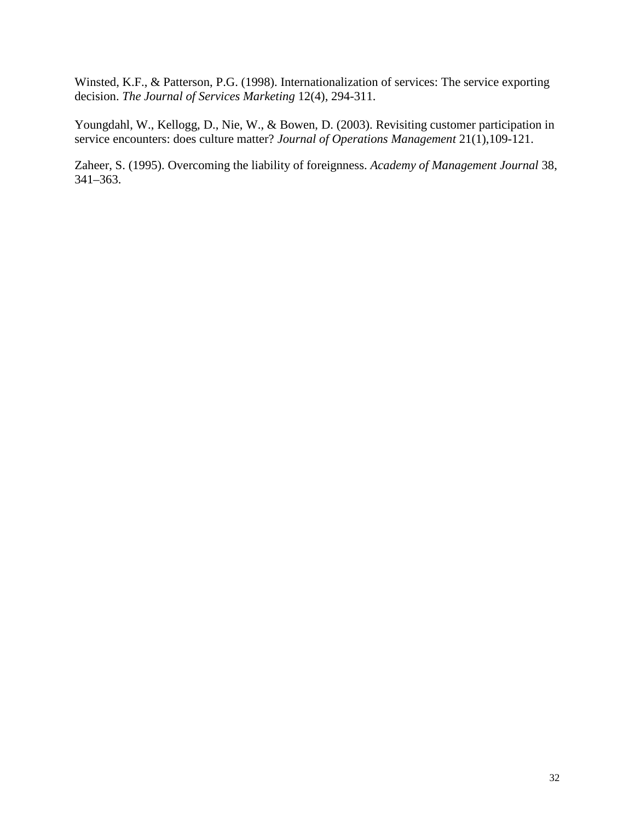Winsted, K.F., & Patterson, P.G. (1998). Internationalization of services: The service exporting decision. *The Journal of Services Marketing* 12(4), 294-311.

Youngdahl, W., Kellogg, D., Nie, W., & Bowen, D. (2003). Revisiting customer participation in service encounters: does culture matter? *Journal of Operations Management* 21(1),109-121.

Zaheer, S. (1995). Overcoming the liability of foreignness. *Academy of Management Journal* 38, 341–363.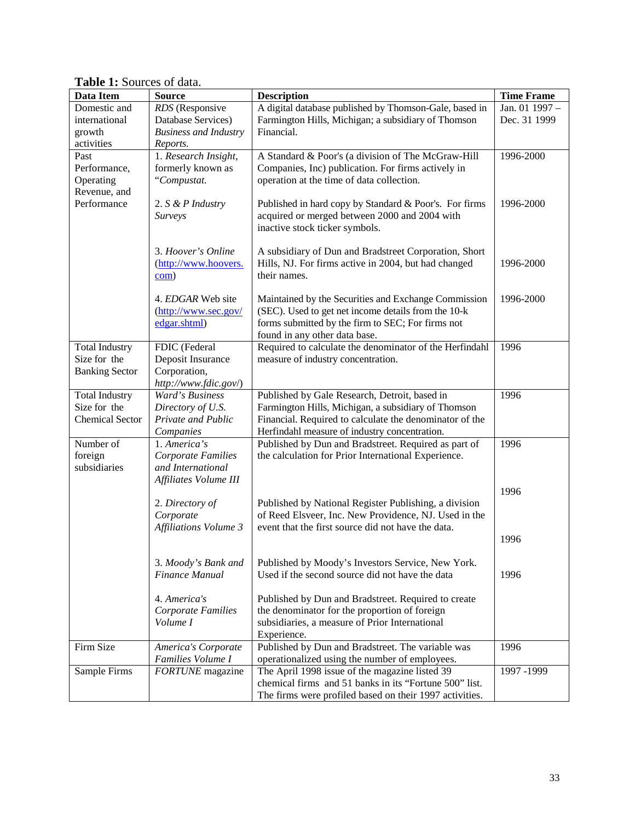| Data Item              | <b>Source</b>                | <b>Description</b>                                                                                            | <b>Time Frame</b> |
|------------------------|------------------------------|---------------------------------------------------------------------------------------------------------------|-------------------|
| Domestic and           | RDS (Responsive              | A digital database published by Thomson-Gale, based in                                                        | Jan. 01 1997 -    |
| international          | Database Services)           | Farmington Hills, Michigan; a subsidiary of Thomson                                                           | Dec. 31 1999      |
| growth                 | <b>Business and Industry</b> | Financial.                                                                                                    |                   |
| activities             | Reports.                     |                                                                                                               |                   |
| Past                   | 1. Research Insight,         | A Standard & Poor's (a division of The McGraw-Hill                                                            | 1996-2000         |
| Performance,           | formerly known as            | Companies, Inc) publication. For firms actively in                                                            |                   |
| Operating              | "Compustat.                  | operation at the time of data collection.                                                                     |                   |
| Revenue, and           |                              |                                                                                                               |                   |
| Performance            | 2. $S \& P$ Industry         | Published in hard copy by Standard & Poor's. For firms                                                        | 1996-2000         |
|                        | Surveys                      | acquired or merged between 2000 and 2004 with                                                                 |                   |
|                        |                              | inactive stock ticker symbols.                                                                                |                   |
|                        | 3. Hoover's Online           |                                                                                                               |                   |
|                        | (http://www.hoovers.         | A subsidiary of Dun and Bradstreet Corporation, Short<br>Hills, NJ. For firms active in 2004, but had changed | 1996-2000         |
|                        | com)                         | their names.                                                                                                  |                   |
|                        |                              |                                                                                                               |                   |
|                        | 4. EDGAR Web site            | Maintained by the Securities and Exchange Commission                                                          | 1996-2000         |
|                        | (http://www.sec.gov/         | (SEC). Used to get net income details from the 10-k                                                           |                   |
|                        | edgar.shtml)                 | forms submitted by the firm to SEC; For firms not                                                             |                   |
|                        |                              | found in any other data base.                                                                                 |                   |
| <b>Total Industry</b>  | FDIC (Federal                | Required to calculate the denominator of the Herfindahl                                                       | 1996              |
| Size for the           | Deposit Insurance            | measure of industry concentration.                                                                            |                   |
| <b>Banking Sector</b>  | Corporation,                 |                                                                                                               |                   |
|                        | http://www.fdic.gov/)        |                                                                                                               |                   |
| <b>Total Industry</b>  | Ward's Business              | Published by Gale Research, Detroit, based in                                                                 | 1996              |
| Size for the           | Directory of U.S.            | Farmington Hills, Michigan, a subsidiary of Thomson                                                           |                   |
| <b>Chemical Sector</b> | Private and Public           | Financial. Required to calculate the denominator of the                                                       |                   |
|                        | Companies                    | Herfindahl measure of industry concentration.                                                                 |                   |
| Number of              | 1. America's                 | Published by Dun and Bradstreet. Required as part of                                                          | 1996              |
| foreign                | <b>Corporate Families</b>    | the calculation for Prior International Experience.                                                           |                   |
| subsidiaries           | and International            |                                                                                                               |                   |
|                        | Affiliates Volume III        |                                                                                                               | 1996              |
|                        | 2. Directory of              | Published by National Register Publishing, a division                                                         |                   |
|                        | Corporate                    | of Reed Elsveer, Inc. New Providence, NJ. Used in the                                                         |                   |
|                        | <b>Affiliations Volume 3</b> | event that the first source did not have the data.                                                            |                   |
|                        |                              |                                                                                                               | 1996              |
|                        |                              |                                                                                                               |                   |
|                        | 3. Moody's Bank and          | Published by Moody's Investors Service, New York.                                                             |                   |
|                        | Finance Manual               | Used if the second source did not have the data                                                               | 1996              |
|                        |                              |                                                                                                               |                   |
|                        | 4. America's                 | Published by Dun and Bradstreet. Required to create                                                           |                   |
|                        | <b>Corporate Families</b>    | the denominator for the proportion of foreign                                                                 |                   |
|                        | Volume I                     | subsidiaries, a measure of Prior International                                                                |                   |
|                        |                              | Experience.                                                                                                   |                   |
| Firm Size              | America's Corporate          | Published by Dun and Bradstreet. The variable was                                                             | 1996              |
|                        | Families Volume I            | operationalized using the number of employees.                                                                |                   |
| Sample Firms           | <b>FORTUNE</b> magazine      | The April 1998 issue of the magazine listed 39                                                                | 1997 -1999        |
|                        |                              | chemical firms and 51 banks in its "Fortune 500" list.                                                        |                   |
|                        |                              | The firms were profiled based on their 1997 activities.                                                       |                   |

**Table 1:** Sources of data.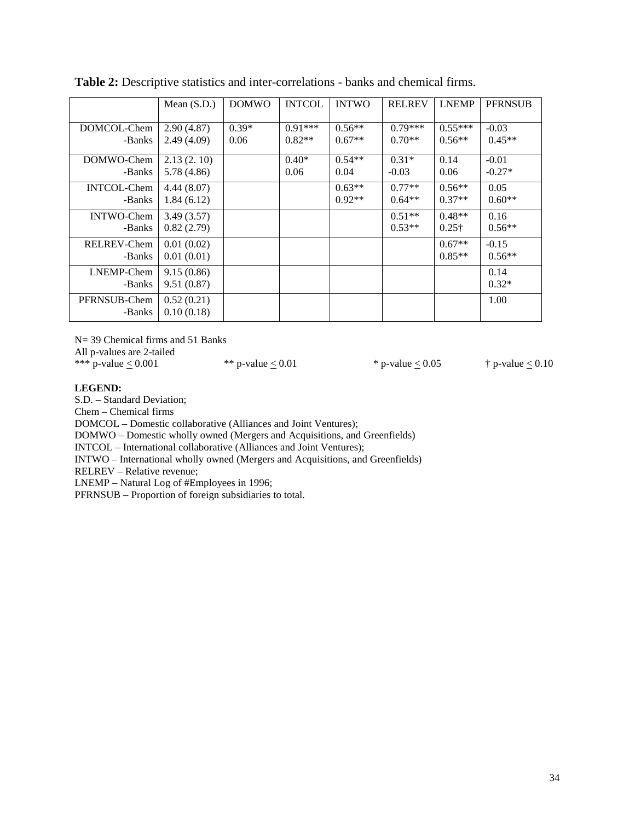|                    | Mean $(S.D.)$ | <b>DOMWO</b> | <b>INTCOL</b> | <b>INTWO</b> | <b>RELREV</b> | <b>LNEMP</b>  | <b>PFRNSUB</b> |
|--------------------|---------------|--------------|---------------|--------------|---------------|---------------|----------------|
|                    |               |              |               |              |               |               |                |
| DOMCOL-Chem        | 2.90(4.87)    | $0.39*$      | $0.91***$     | $0.56**$     | $0.79***$     | $0.55***$     | $-0.03$        |
| -Banks             | 2.49(4.09)    | 0.06         | $0.82**$      | $0.67**$     | $0.70**$      | $0.56**$      | $0.45**$       |
|                    |               |              |               |              |               |               |                |
| DOMWO-Chem         | 2.13(2.10)    |              | $0.40*$       | $0.54**$     | $0.31*$       | 0.14          | $-0.01$        |
| -Banks             | 5.78 (4.86)   |              | 0.06          | 0.04         | $-0.03$       | 0.06          | $-0.27*$       |
| <b>INTCOL-Chem</b> | 4.44(8.07)    |              |               | $0.63**$     | $0.77**$      | $0.56**$      | 0.05           |
| -Banks             | 1.84(6.12)    |              |               | $0.92**$     | $0.64**$      | $0.37**$      | $0.60**$       |
|                    |               |              |               |              |               |               |                |
| <b>INTWO-Chem</b>  | 3.49(3.57)    |              |               |              | $0.51**$      | $0.48**$      | 0.16           |
| -Banks             | 0.82(2.79)    |              |               |              | $0.53**$      | $0.25\dagger$ | $0.56**$       |
| RELREV-Chem        | 0.01(0.02)    |              |               |              |               | $0.67**$      | $-0.15$        |
| -Banks             | 0.01(0.01)    |              |               |              |               | $0.85**$      | $0.56**$       |
|                    |               |              |               |              |               |               |                |
| LNEMP-Chem         | 9.15(0.86)    |              |               |              |               |               | 0.14           |
| -Banks             | 9.51(0.87)    |              |               |              |               |               | $0.32*$        |
|                    |               |              |               |              |               |               |                |
| PFRNSUB-Chem       | 0.52(0.21)    |              |               |              |               |               | 1.00           |
| -Banks             | 0.10(0.18)    |              |               |              |               |               |                |

**Table 2:** Descriptive statistics and inter-correlations - banks and chemical firms.

N= 39 Chemical firms and 51 Banks

All p-values are 2-tailed

\*\*\* p-value  $\leq 0.001$  \*\* p-value  $\leq 0.01$  \* p-value  $\leq 0.05$  † p-value  $\leq 0.10$ 

#### **LEGEND:**

S.D. – Standard Deviation;

Chem – Chemical firms

DOMCOL – Domestic collaborative (Alliances and Joint Ventures);

DOMWO – Domestic wholly owned (Mergers and Acquisitions, and Greenfields)

INTCOL – International collaborative (Alliances and Joint Ventures);

INTWO – International wholly owned (Mergers and Acquisitions, and Greenfields)

RELREV – Relative revenue;

LNEMP – Natural Log of #Employees in 1996;

PFRNSUB – Proportion of foreign subsidiaries to total.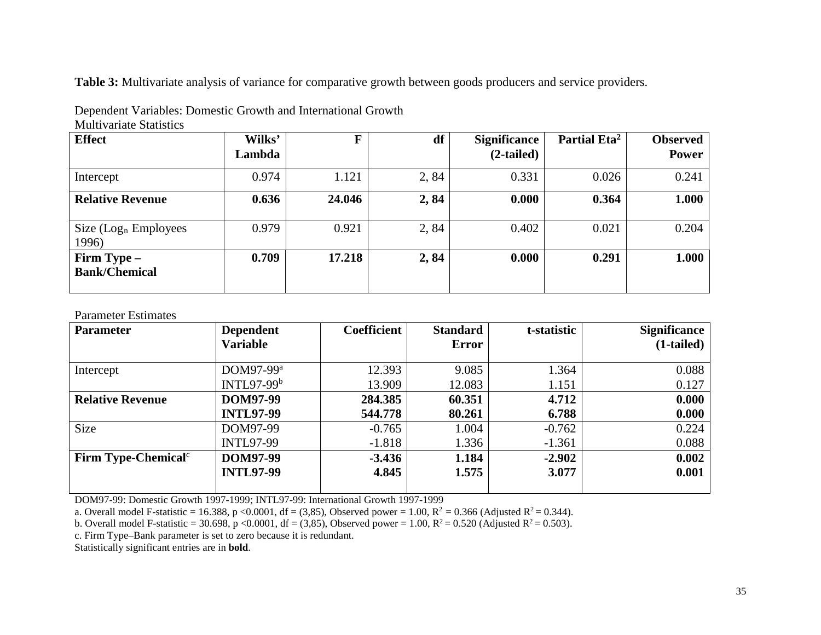**Table 3:** Multivariate analysis of variance for comparative growth between goods producers and service providers.

Dependent Variables: Domestic Growth and International Growth Multivariate Statistics

| <b>Effect</b>                       | Wilks' | F      | df   | <b>Significance</b> | Partial Eta <sup>2</sup> | <b>Observed</b> |
|-------------------------------------|--------|--------|------|---------------------|--------------------------|-----------------|
|                                     | Lambda |        |      | $(2-tailed)$        |                          | <b>Power</b>    |
| Intercept                           | 0.974  | 1.121  | 2,84 | 0.331               | 0.026                    | 0.241           |
| <b>Relative Revenue</b>             | 0.636  | 24.046 | 2,84 | 0.000               | 0.364                    | 1.000           |
| Size $(Logn$ Employees<br>1996)     | 0.979  | 0.921  | 2,84 | 0.402               | 0.021                    | 0.204           |
| Firm Type –<br><b>Bank/Chemical</b> | 0.709  | 17.218 | 2,84 | 0.000               | 0.291                    | 1.000           |

Parameter Estimates

| <b>Parameter</b>              | <b>Dependent</b>      | Coefficient | <b>Standard</b> | t-statistic | <b>Significance</b> |
|-------------------------------|-----------------------|-------------|-----------------|-------------|---------------------|
|                               | <b>Variable</b>       |             | <b>Error</b>    |             | $(1-tailed)$        |
| Intercept                     | DOM97-99 <sup>a</sup> | 12.393      | 9.085           | 1.364       | 0.088               |
|                               | INTL97-99 $b$         | 13.909      | 12.083          | 1.151       | 0.127               |
| <b>Relative Revenue</b>       | <b>DOM97-99</b>       | 284.385     | 60.351          | 4.712       | 0.000               |
|                               | <b>INTL97-99</b>      | 544.778     | 80.261          | 6.788       | 0.000               |
| <b>Size</b>                   | DOM97-99              | $-0.765$    | 1.004           | $-0.762$    | 0.224               |
|                               | <b>INTL97-99</b>      | $-1.818$    | 1.336           | $-1.361$    | 0.088               |
| Firm Type-Chemical $\text{c}$ | <b>DOM97-99</b>       | $-3.436$    | 1.184           | $-2.902$    | 0.002               |
|                               | <b>INTL97-99</b>      | 4.845       | 1.575           | 3.077       | 0.001               |
|                               |                       |             |                 |             |                     |

DOM97-99: Domestic Growth 1997-1999; INTL97-99: International Growth 1997-1999

a. Overall model F-statistic = 16.388, p <0.0001, df = (3,85), Observed power = 1.00,  $R^2$  = 0.366 (Adjusted  $R^2$  = 0.344).

b. Overall model F-statistic = 30.698, p <0.0001, df = (3,85), Observed power = 1.00,  $R^2 = 0.520$  (Adjusted  $R^2 = 0.503$ ).

c. Firm Type–Bank parameter is set to zero because it is redundant.

Statistically significant entries are in **bold**.